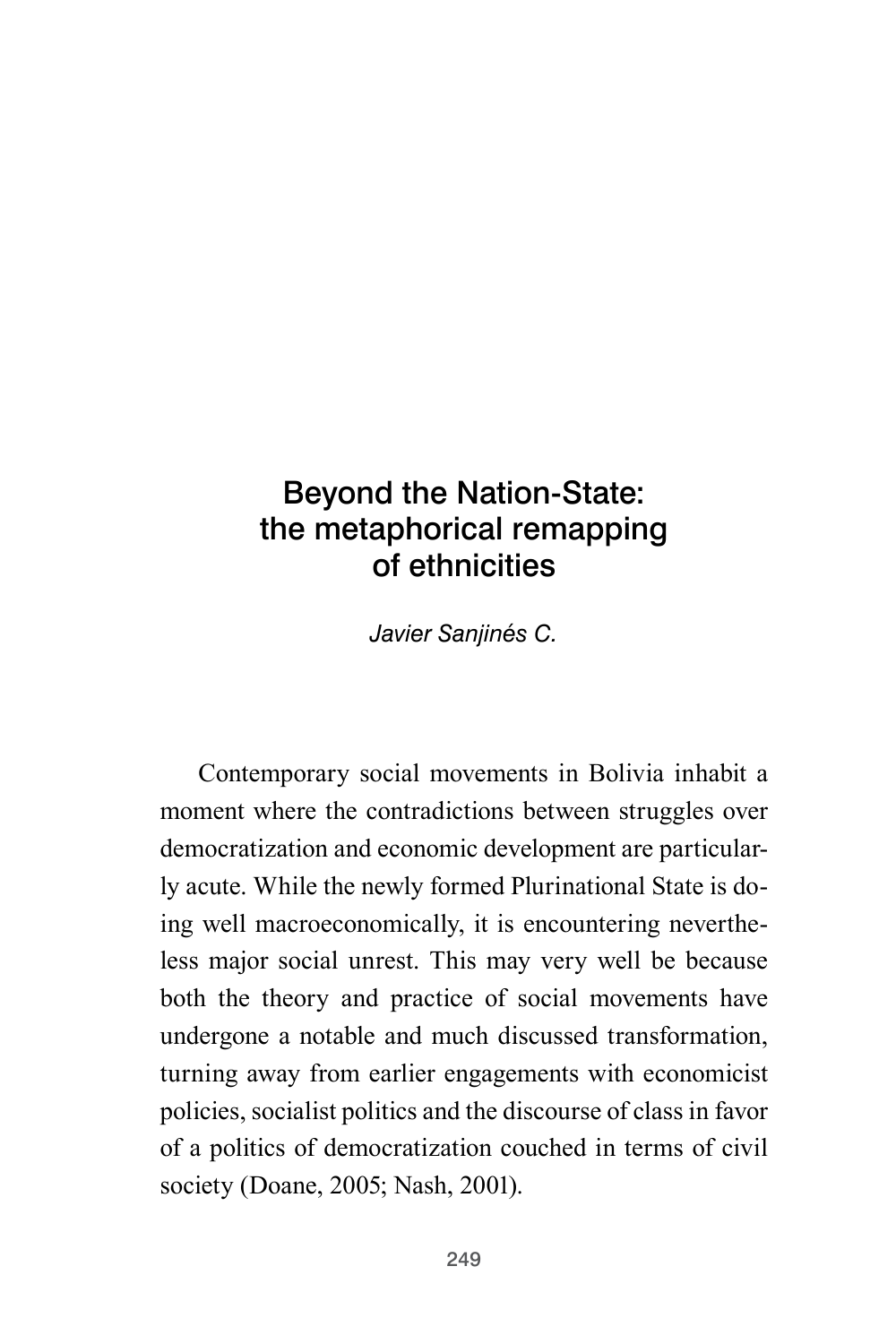# Beyond the Nation-State: the metaphorical remapping of ethnicities

*Javier Sanjinés C.*

Contemporary social movements in Bolivia inhabit a moment where the contradictions between struggles over democratization and economic development are particularly acute. While the newly formed Plurinational State is doing well macroeconomically, it is encountering nevertheless major social unrest. This may very well be because both the theory and practice of social movements have undergone a notable and much discussed transformation, turning away from earlier engagements with economicist policies, socialist politics and the discourse of class in favor of a politics of democratization couched in terms of civil society (Doane, 2005; Nash, 2001).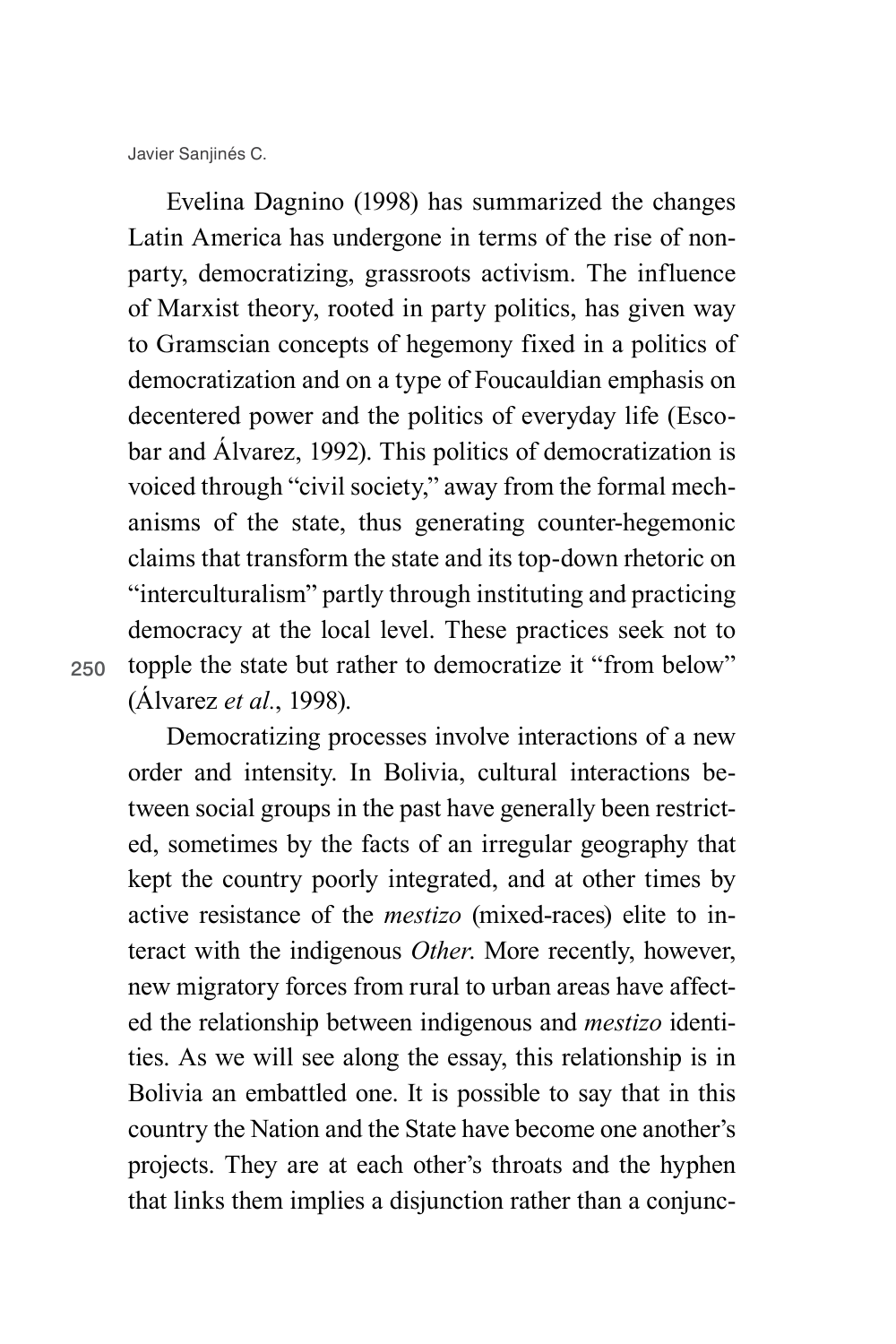Evelina Dagnino (1998) has summarized the changes Latin America has undergone in terms of the rise of nonparty, democratizing, grassroots activism. The influence of Marxist theory, rooted in party politics, has given way to Gramscian concepts of hegemony fixed in a politics of democratization and on a type of Foucauldian emphasis on decentered power and the politics of everyday life (Escobar and Álvarez, 1992). This politics of democratization is voiced through "civil society," away from the formal mechanisms of the state, thus generating counter-hegemonic claims that transform the state and its top-down rhetoric on "interculturalism" partly through instituting and practicing democracy at the local level. These practices seek not to topple the state but rather to democratize it "from below" (Álvarez *et al.*, 1998).

250

Democratizing processes involve interactions of a new order and intensity. In Bolivia, cultural interactions between social groups in the past have generally been restricted, sometimes by the facts of an irregular geography that kept the country poorly integrated, and at other times by active resistance of the *mestizo* (mixed-races) elite to interact with the indigenous *Other*. More recently, however, new migratory forces from rural to urban areas have affected the relationship between indigenous and *mestizo* identities. As we will see along the essay, this relationship is in Bolivia an embattled one. It is possible to say that in this country the Nation and the State have become one another's projects. They are at each other's throats and the hyphen that links them implies a disjunction rather than a conjunc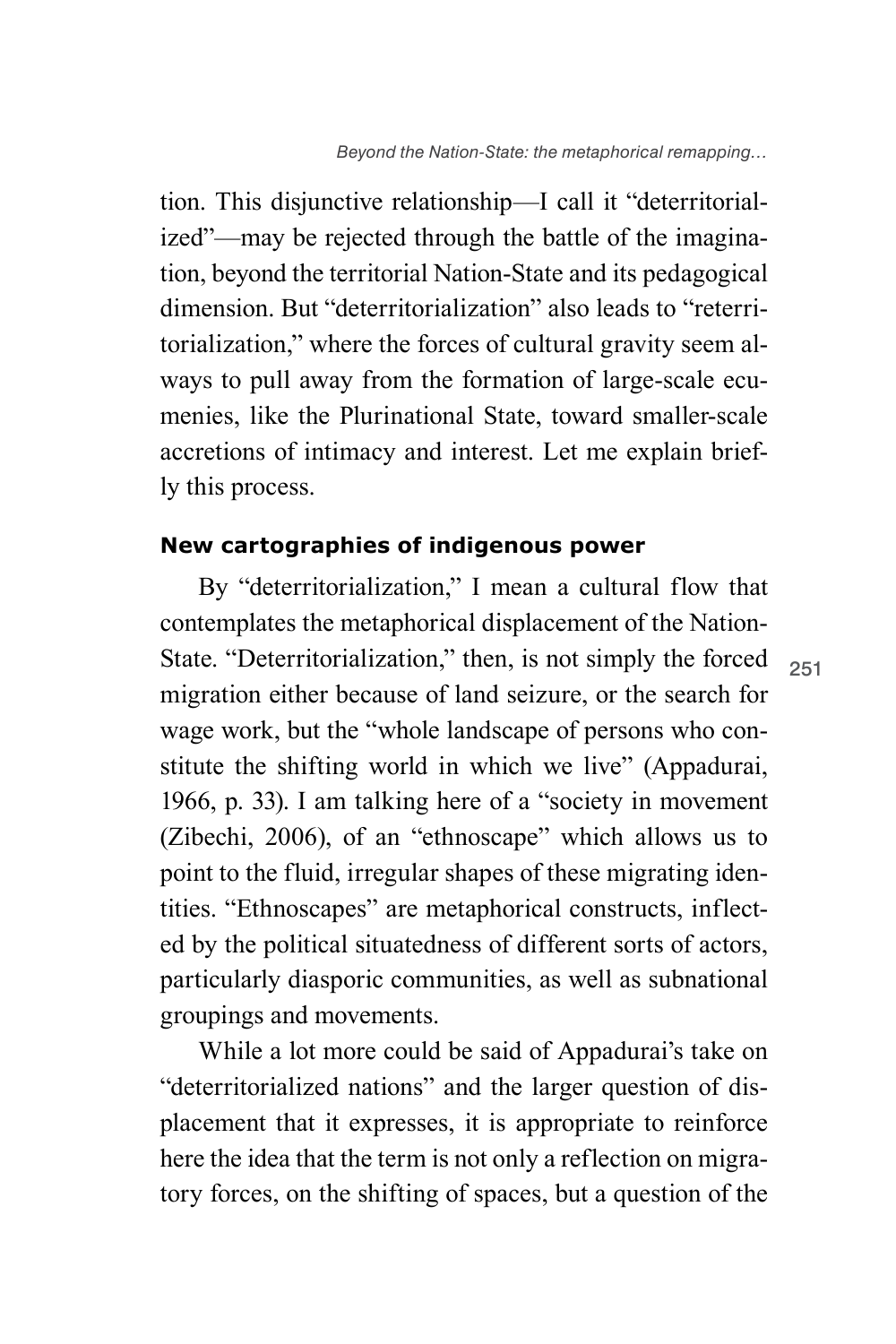tion. This disjunctive relationship—I call it "deterritorialized"—may be rejected through the battle of the imagination, beyond the territorial Nation-State and its pedagogical dimension. But "deterritorialization" also leads to "reterritorialization," where the forces of cultural gravity seem always to pull away from the formation of large-scale ecumenies, like the Plurinational State, toward smaller-scale accretions of intimacy and interest. Let me explain briefly this process.

## **New cartographies of indigenous power**

By "deterritorialization," I mean a cultural flow that contemplates the metaphorical displacement of the Nation-State. "Deterritorialization," then, is not simply the forced migration either because of land seizure, or the search for wage work, but the "whole landscape of persons who constitute the shifting world in which we live" (Appadurai, 1966, p. 33). I am talking here of a "society in movement (Zibechi, 2006), of an "ethnoscape" which allows us to point to the fluid, irregular shapes of these migrating identities. "Ethnoscapes" are metaphorical constructs, inflected by the political situatedness of different sorts of actors, particularly diasporic communities, as well as subnational groupings and movements.

While a lot more could be said of Appadurai's take on "deterritorialized nations" and the larger question of displacement that it expresses, it is appropriate to reinforce here the idea that the term is not only a reflection on migratory forces, on the shifting of spaces, but a question of the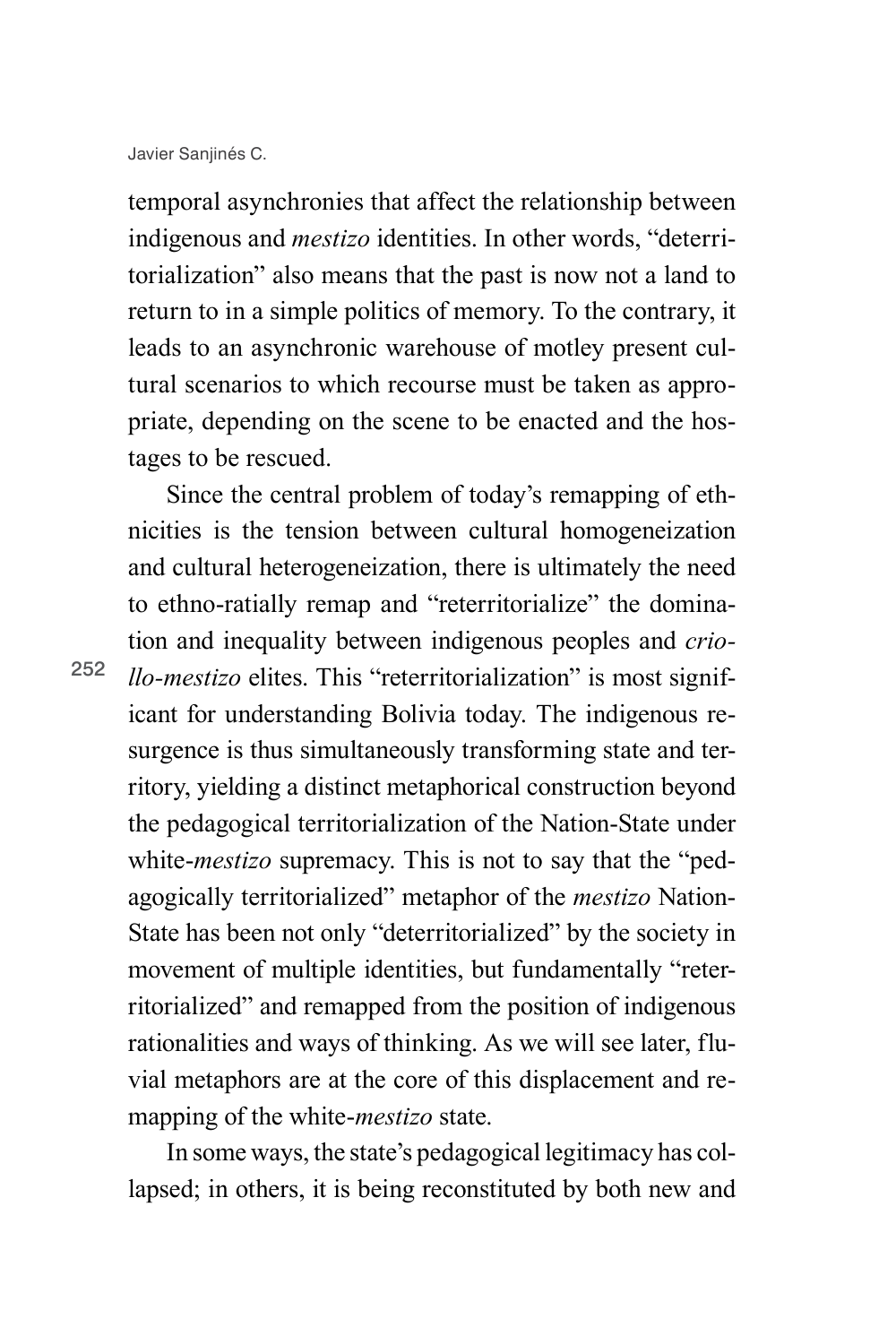temporal asynchronies that affect the relationship between indigenous and *mestizo* identities. In other words, "deterritorialization" also means that the past is now not a land to return to in a simple politics of memory. To the contrary, it leads to an asynchronic warehouse of motley present cultural scenarios to which recourse must be taken as appropriate, depending on the scene to be enacted and the hostages to be rescued.

Since the central problem of today's remapping of ethnicities is the tension between cultural homogeneization and cultural heterogeneization, there is ultimately the need to ethno-ratially remap and "reterritorialize" the domination and inequality between indigenous peoples and *criollo-mestizo* elites. This "reterritorialization" is most significant for understanding Bolivia today. The indigenous resurgence is thus simultaneously transforming state and territory, yielding a distinct metaphorical construction beyond the pedagogical territorialization of the Nation-State under white-*mestizo* supremacy. This is not to say that the "pedagogically territorialized" metaphor of the *mestizo* Nation-State has been not only "deterritorialized" by the society in movement of multiple identities, but fundamentally "reterritorialized" and remapped from the position of indigenous rationalities and ways of thinking. As we will see later, fluvial metaphors are at the core of this displacement and remapping of the white-*mestizo* state.

In some ways, the state's pedagogical legitimacy has collapsed; in others, it is being reconstituted by both new and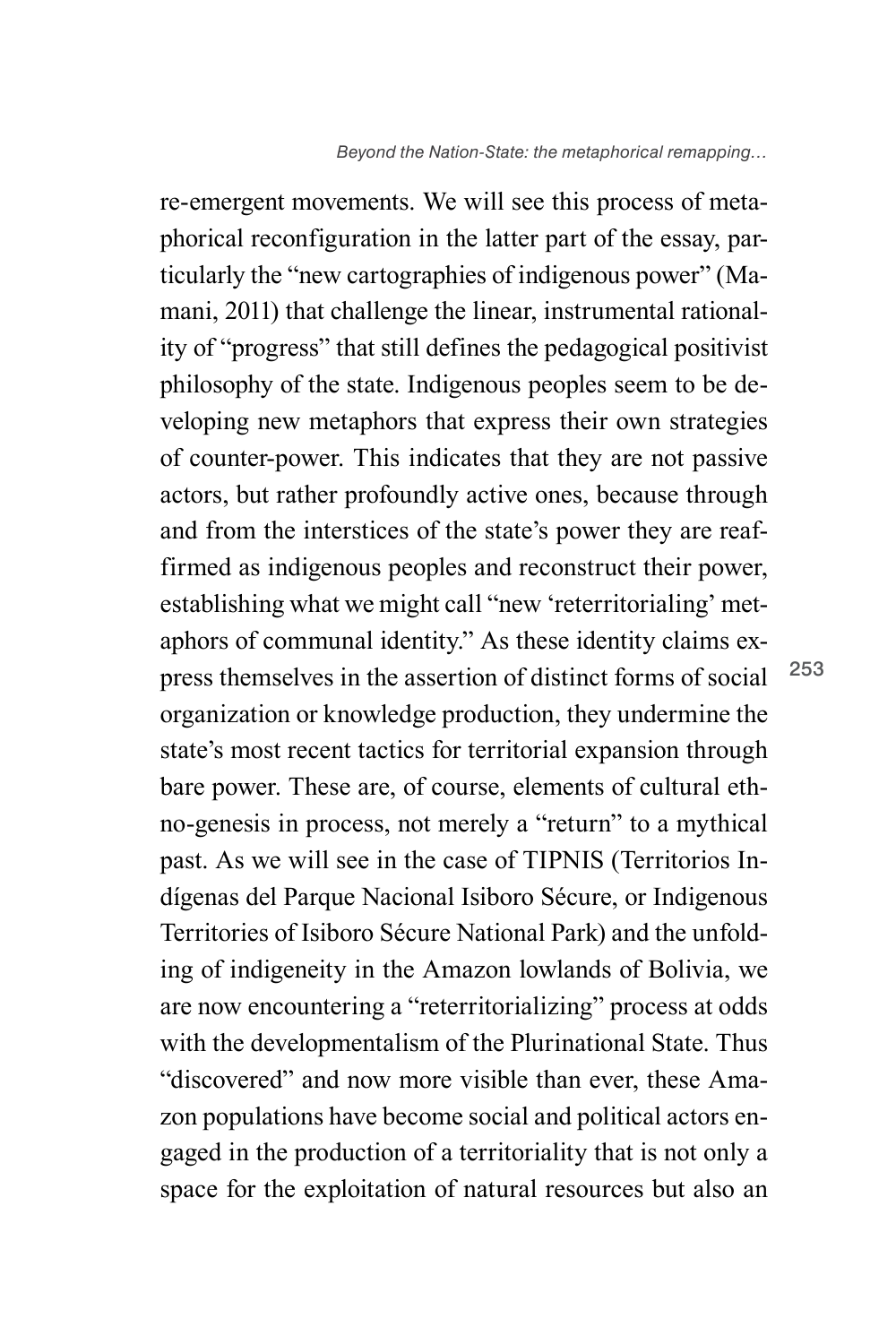re-emergent movements. We will see this process of metaphorical reconfiguration in the latter part of the essay, particularly the "new cartographies of indigenous power" (Mamani, 2011) that challenge the linear, instrumental rationality of "progress" that still defines the pedagogical positivist philosophy of the state. Indigenous peoples seem to be developing new metaphors that express their own strategies of counter-power. This indicates that they are not passive actors, but rather profoundly active ones, because through and from the interstices of the state's power they are reaffirmed as indigenous peoples and reconstruct their power, establishing what we might call "new 'reterritorialing' metaphors of communal identity." As these identity claims express themselves in the assertion of distinct forms of social organization or knowledge production, they undermine the state's most recent tactics for territorial expansion through bare power. These are, of course, elements of cultural ethno-genesis in process, not merely a "return" to a mythical past. As we will see in the case of TIPNIS (Territorios Indígenas del Parque Nacional Isiboro Sécure, or Indigenous Territories of Isiboro Sécure National Park) and the unfolding of indigeneity in the Amazon lowlands of Bolivia, we are now encountering a "reterritorializing" process at odds with the developmentalism of the Plurinational State. Thus "discovered" and now more visible than ever, these Amazon populations have become social and political actors engaged in the production of a territoriality that is not only a space for the exploitation of natural resources but also an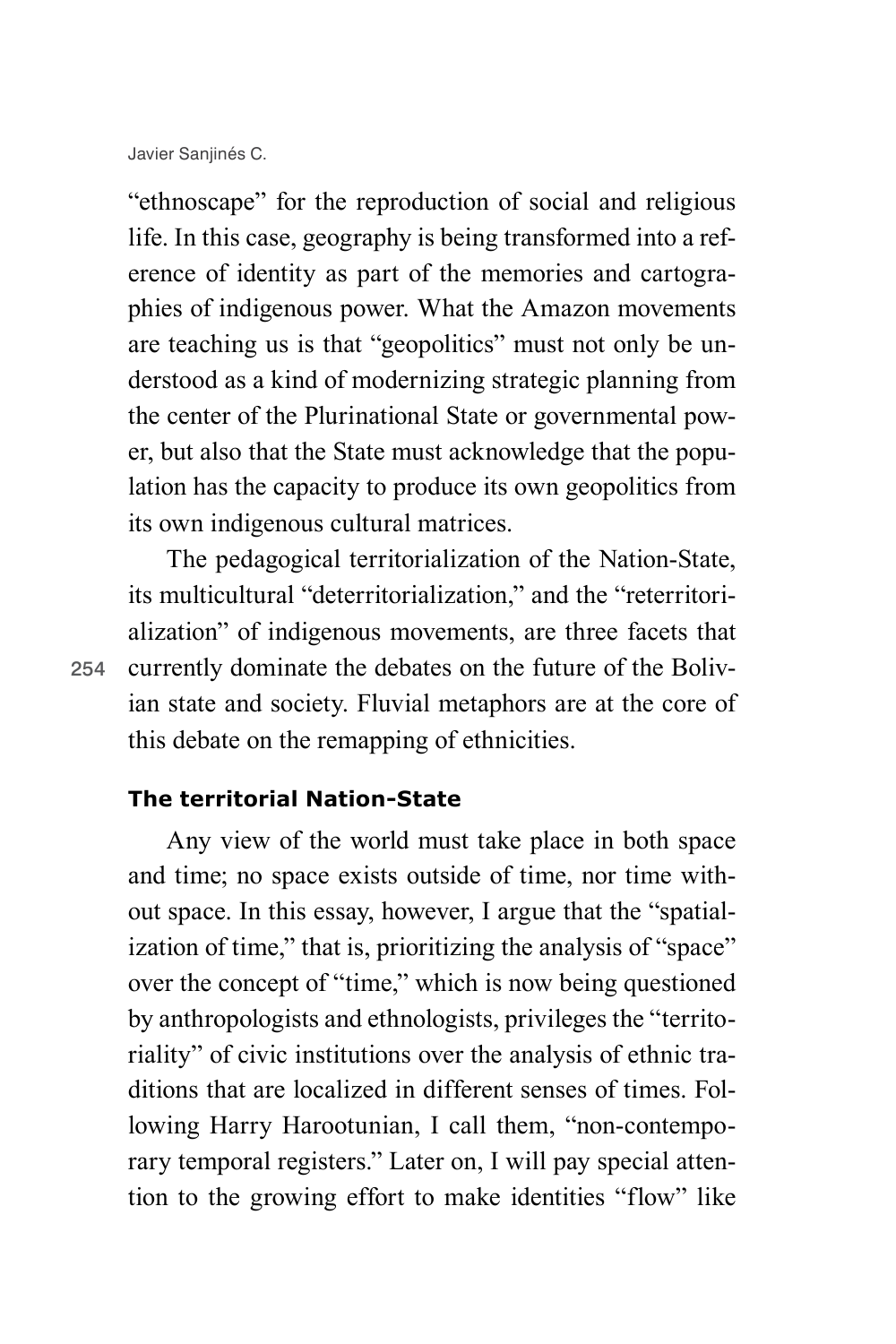"ethnoscape" for the reproduction of social and religious life. In this case, geography is being transformed into a reference of identity as part of the memories and cartographies of indigenous power. What the Amazon movements are teaching us is that "geopolitics" must not only be understood as a kind of modernizing strategic planning from the center of the Plurinational State or governmental power, but also that the State must acknowledge that the population has the capacity to produce its own geopolitics from its own indigenous cultural matrices.

The pedagogical territorialization of the Nation-State, its multicultural "deterritorialization," and the "reterritorialization" of indigenous movements, are three facets that currently dominate the debates on the future of the Bolivian state and society. Fluvial metaphors are at the core of this debate on the remapping of ethnicities.

**The territorial Nation-State**

Any view of the world must take place in both space and time; no space exists outside of time, nor time without space. In this essay, however, I argue that the "spatialization of time," that is, prioritizing the analysis of "space" over the concept of "time," which is now being questioned by anthropologists and ethnologists, privileges the "territoriality" of civic institutions over the analysis of ethnic traditions that are localized in different senses of times. Following Harry Harootunian, I call them, "non-contemporary temporal registers." Later on, I will pay special attention to the growing effort to make identities "flow" like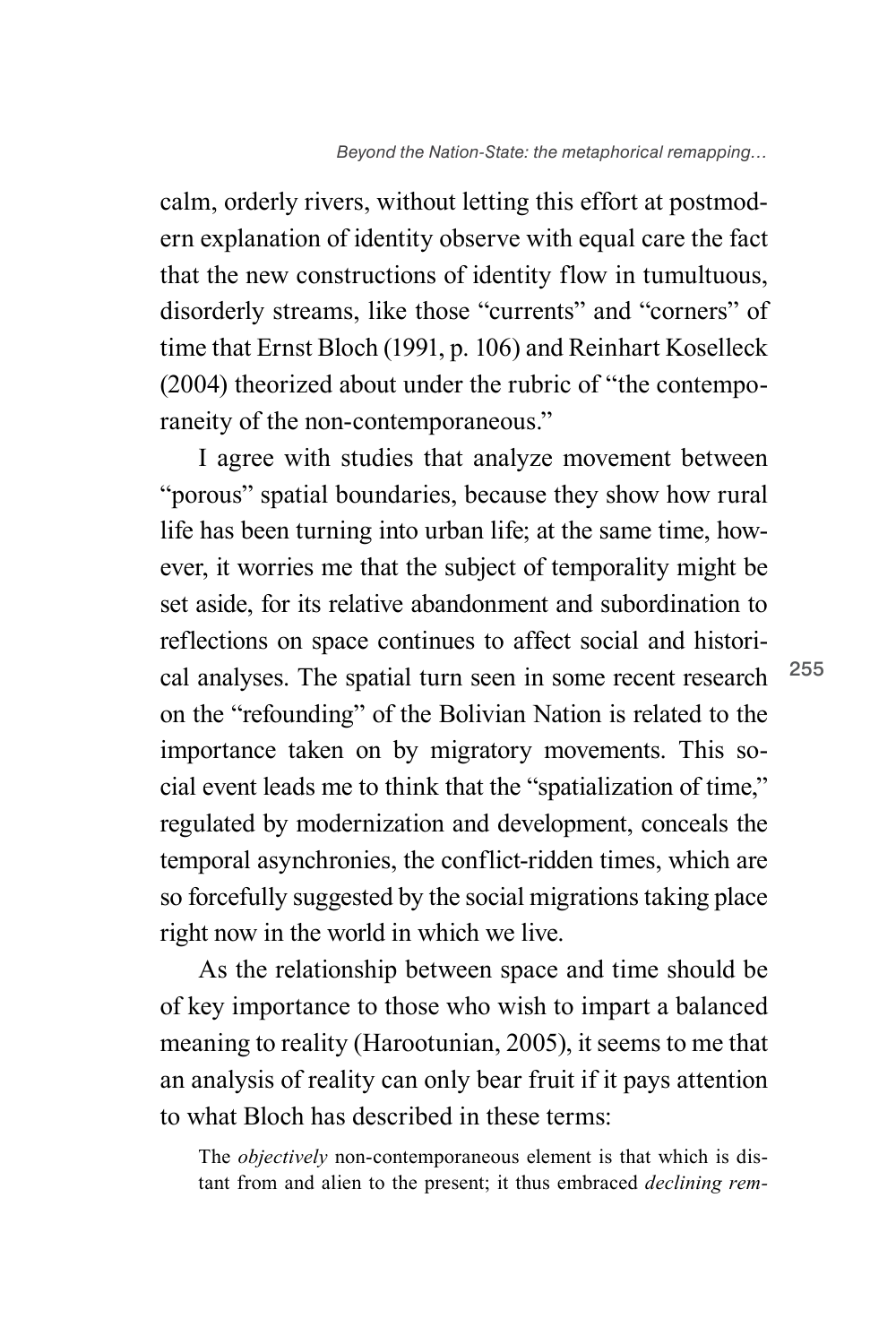calm, orderly rivers, without letting this effort at postmodern explanation of identity observe with equal care the fact that the new constructions of identity flow in tumultuous, disorderly streams, like those "currents" and "corners" of time that Ernst Bloch (1991, p. 106) and Reinhart Koselleck (2004) theorized about under the rubric of "the contemporaneity of the non-contemporaneous."

I agree with studies that analyze movement between "porous" spatial boundaries, because they show how rural life has been turning into urban life; at the same time, however, it worries me that the subject of temporality might be set aside, for its relative abandonment and subordination to reflections on space continues to affect social and historical analyses. The spatial turn seen in some recent research on the "refounding" of the Bolivian Nation is related to the importance taken on by migratory movements. This social event leads me to think that the "spatialization of time," regulated by modernization and development, conceals the temporal asynchronies, the conflict-ridden times, which are so forcefully suggested by the social migrations taking place right now in the world in which we live.

As the relationship between space and time should be of key importance to those who wish to impart a balanced meaning to reality (Harootunian, 2005), it seems to me that an analysis of reality can only bear fruit if it pays attention to what Bloch has described in these terms:

The *objectively* non-contemporaneous element is that which is distant from and alien to the present; it thus embraced *declining rem-*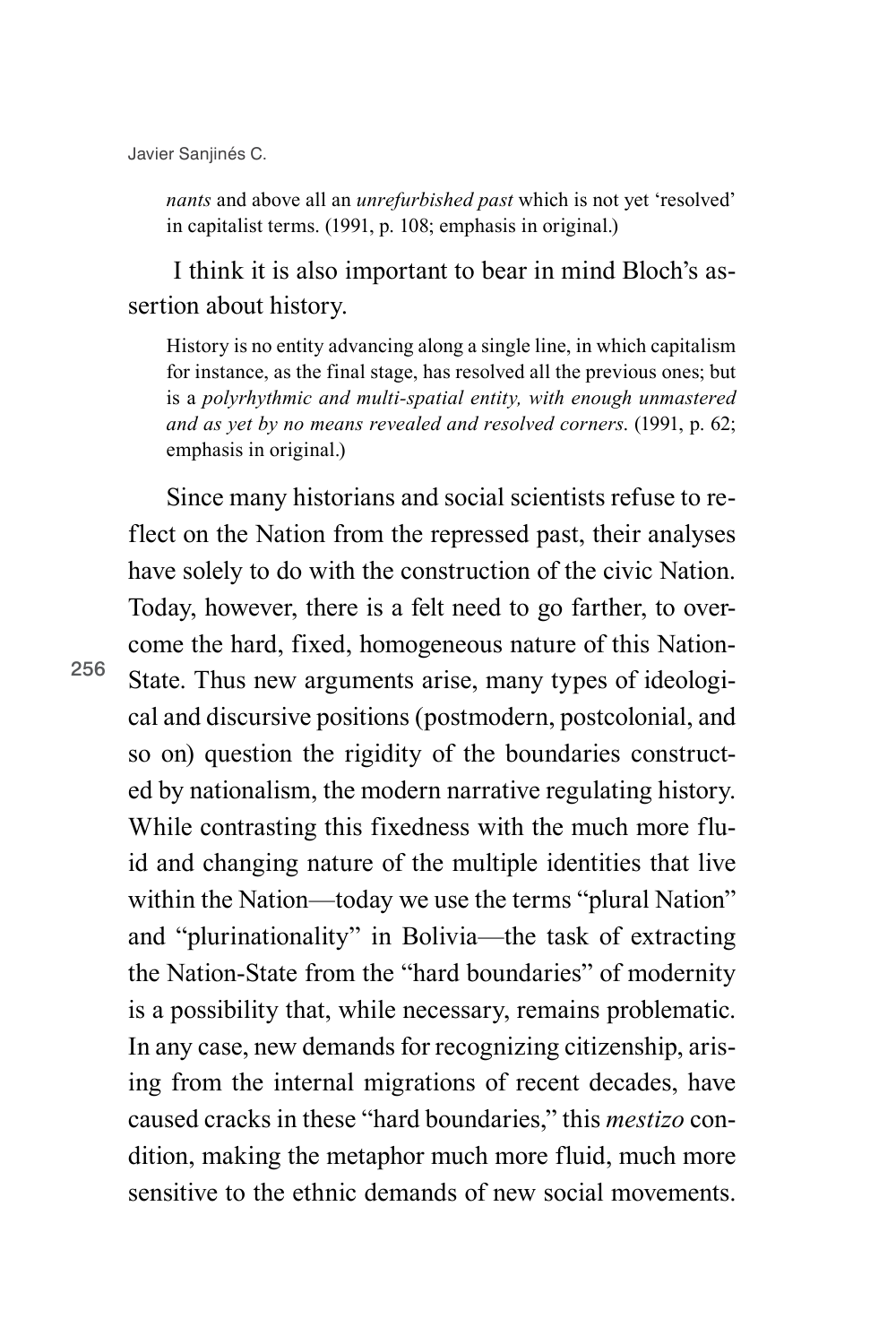256

*nants* and above all an *unrefurbished past* which is not yet 'resolved' in capitalist terms. (1991, p. 108; emphasis in original.)

 I think it is also important to bear in mind Bloch's assertion about history.

History is no entity advancing along a single line, in which capitalism for instance, as the final stage, has resolved all the previous ones; but is a *polyrhythmic and multi-spatial entity, with enough unmastered and as yet by no means revealed and resolved corners*. (1991, p. 62; emphasis in original.)

Since many historians and social scientists refuse to reflect on the Nation from the repressed past, their analyses have solely to do with the construction of the civic Nation. Today, however, there is a felt need to go farther, to overcome the hard, fixed, homogeneous nature of this Nation-State. Thus new arguments arise, many types of ideological and discursive positions (postmodern, postcolonial, and so on) question the rigidity of the boundaries constructed by nationalism, the modern narrative regulating history. While contrasting this fixedness with the much more fluid and changing nature of the multiple identities that live within the Nation—today we use the terms "plural Nation" and "plurinationality" in Bolivia—the task of extracting the Nation-State from the "hard boundaries" of modernity is a possibility that, while necessary, remains problematic. In any case, new demands for recognizing citizenship, arising from the internal migrations of recent decades, have caused cracks in these "hard boundaries," this *mestizo* condition, making the metaphor much more fluid, much more sensitive to the ethnic demands of new social movements.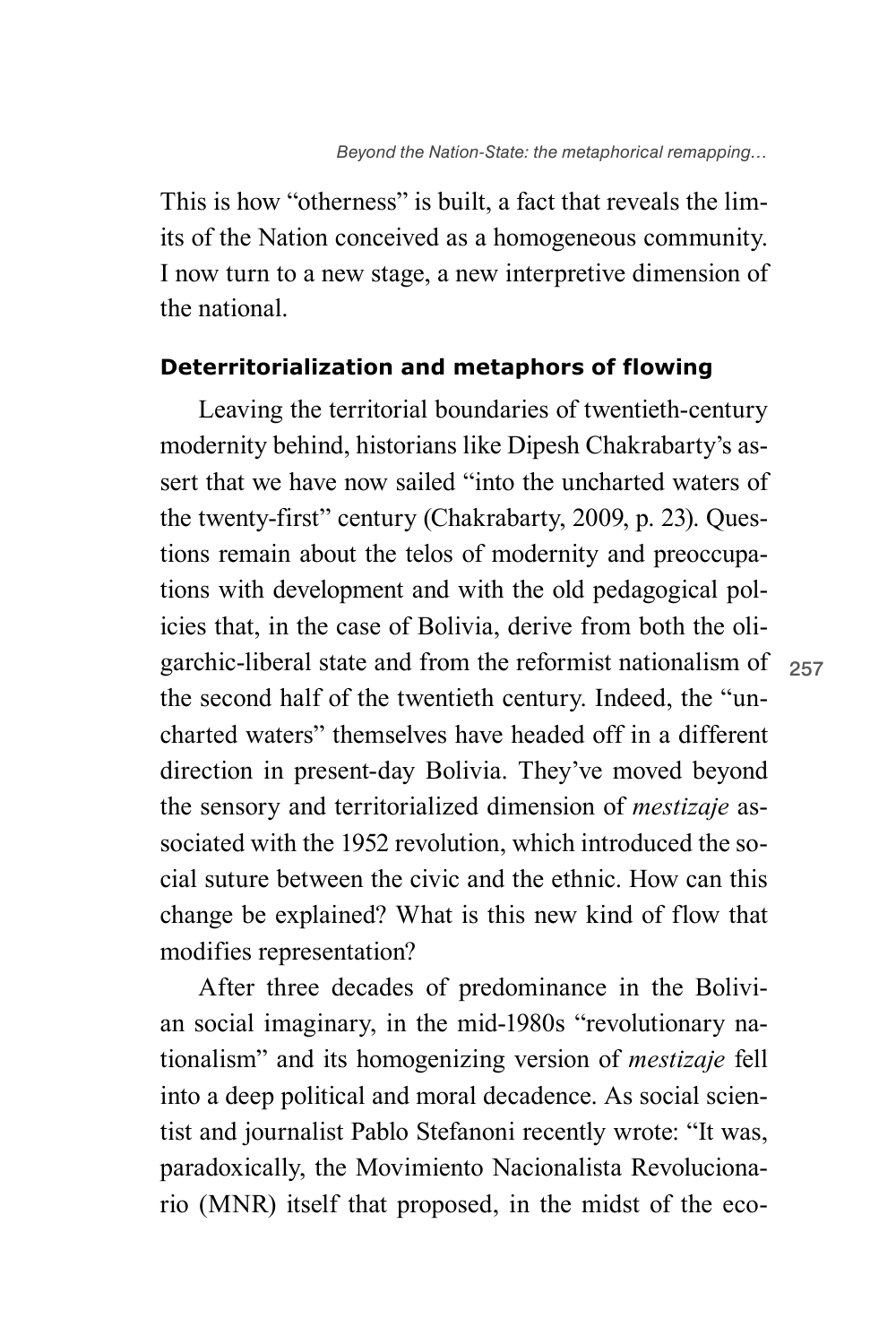This is how "otherness" is built, a fact that reveals the limits of the Nation conceived as a homogeneous community. I now turn to a new stage, a new interpretive dimension of the national.

### **Deterritorialization and metaphors of flowing**

garchic-liberal state and from the reformist nationalism of <sub>257</sub> Leaving the territorial boundaries of twentieth-century modernity behind, historians like Dipesh Chakrabarty's assert that we have now sailed "into the uncharted waters of the twenty-first" century (Chakrabarty, 2009, p. 23). Questions remain about the telos of modernity and preoccupations with development and with the old pedagogical policies that, in the case of Bolivia, derive from both the olithe second half of the twentieth century. Indeed, the "uncharted waters" themselves have headed off in a different direction in present-day Bolivia. They've moved beyond the sensory and territorialized dimension of *mestizaje* associated with the 1952 revolution, which introduced the social suture between the civic and the ethnic. How can this change be explained? What is this new kind of flow that modifies representation?

After three decades of predominance in the Bolivian social imaginary, in the mid-1980s "revolutionary nationalism" and its homogenizing version of *mestizaje* fell into a deep political and moral decadence. As social scientist and journalist Pablo Stefanoni recently wrote: "It was, paradoxically, the Movimiento Nacionalista Revolucionario (MNR) itself that proposed, in the midst of the eco-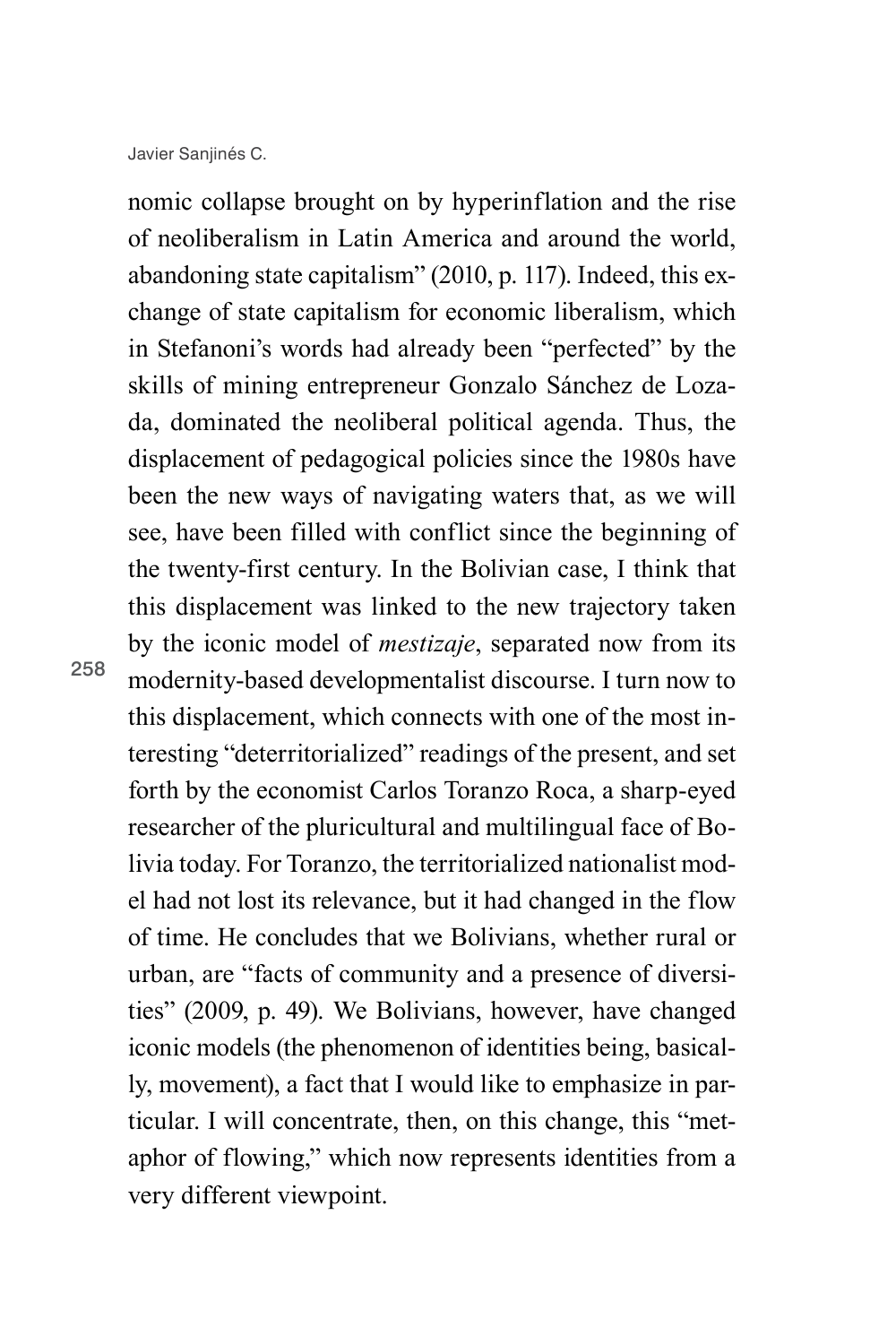nomic collapse brought on by hyperinflation and the rise of neoliberalism in Latin America and around the world, abandoning state capitalism" (2010, p. 117). Indeed, this exchange of state capitalism for economic liberalism, which in Stefanoni's words had already been "perfected" by the skills of mining entrepreneur Gonzalo Sánchez de Lozada, dominated the neoliberal political agenda. Thus, the displacement of pedagogical policies since the 1980s have been the new ways of navigating waters that, as we will see, have been filled with conflict since the beginning of the twenty-first century. In the Bolivian case, I think that this displacement was linked to the new trajectory taken by the iconic model of *mestizaje*, separated now from its modernity-based developmentalist discourse. I turn now to this displacement, which connects with one of the most interesting "deterritorialized" readings of the present, and set forth by the economist Carlos Toranzo Roca, a sharp-eyed researcher of the pluricultural and multilingual face of Bolivia today. For Toranzo, the territorialized nationalist model had not lost its relevance, but it had changed in the flow of time. He concludes that we Bolivians, whether rural or urban, are "facts of community and a presence of diversities" (2009, p. 49). We Bolivians, however, have changed iconic models (the phenomenon of identities being, basically, movement), a fact that I would like to emphasize in particular. I will concentrate, then, on this change, this "metaphor of flowing," which now represents identities from a very different viewpoint.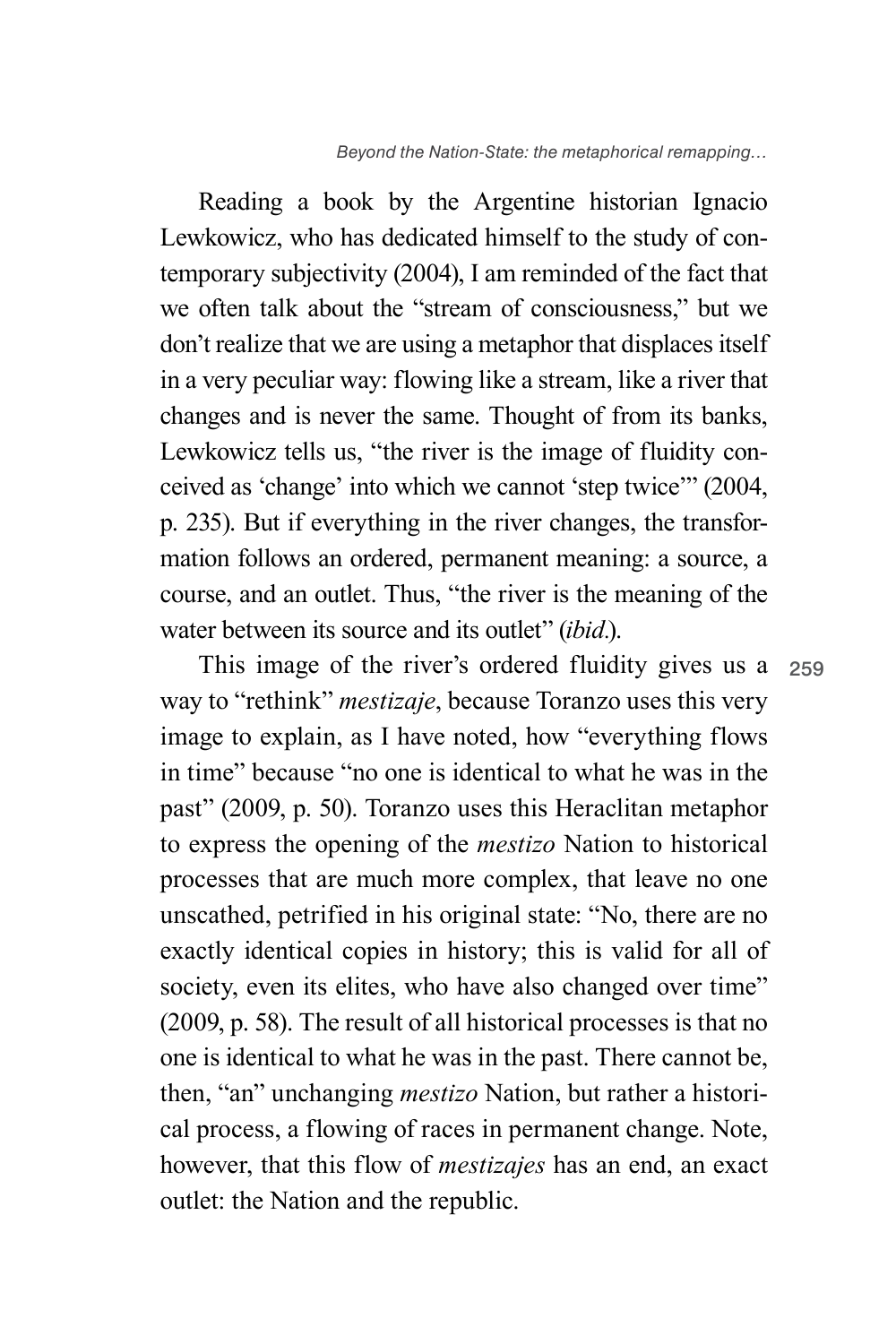259

Reading a book by the Argentine historian Ignacio Lewkowicz, who has dedicated himself to the study of contemporary subjectivity (2004), I am reminded of the fact that we often talk about the "stream of consciousness," but we don't realize that we are using a metaphor that displaces itself in a very peculiar way: flowing like a stream, like a river that changes and is never the same. Thought of from its banks, Lewkowicz tells us, "the river is the image of fluidity conceived as 'change' into which we cannot 'step twice'" (2004, p. 235). But if everything in the river changes, the transformation follows an ordered, permanent meaning: a source, a course, and an outlet. Thus, "the river is the meaning of the water between its source and its outlet" (*ibid.*).

This image of the river's ordered fluidity gives us a way to "rethink" *mestizaje*, because Toranzo uses this very image to explain, as I have noted, how "everything flows in time" because "no one is identical to what he was in the past" (2009, p. 50). Toranzo uses this Heraclitan metaphor to express the opening of the *mestizo* Nation to historical processes that are much more complex, that leave no one unscathed, petrified in his original state: "No, there are no exactly identical copies in history; this is valid for all of society, even its elites, who have also changed over time" (2009, p. 58). The result of all historical processes is that no one is identical to what he was in the past. There cannot be, then, "an" unchanging *mestizo* Nation, but rather a historical process, a flowing of races in permanent change. Note, however, that this flow of *mestizajes* has an end, an exact outlet: the Nation and the republic.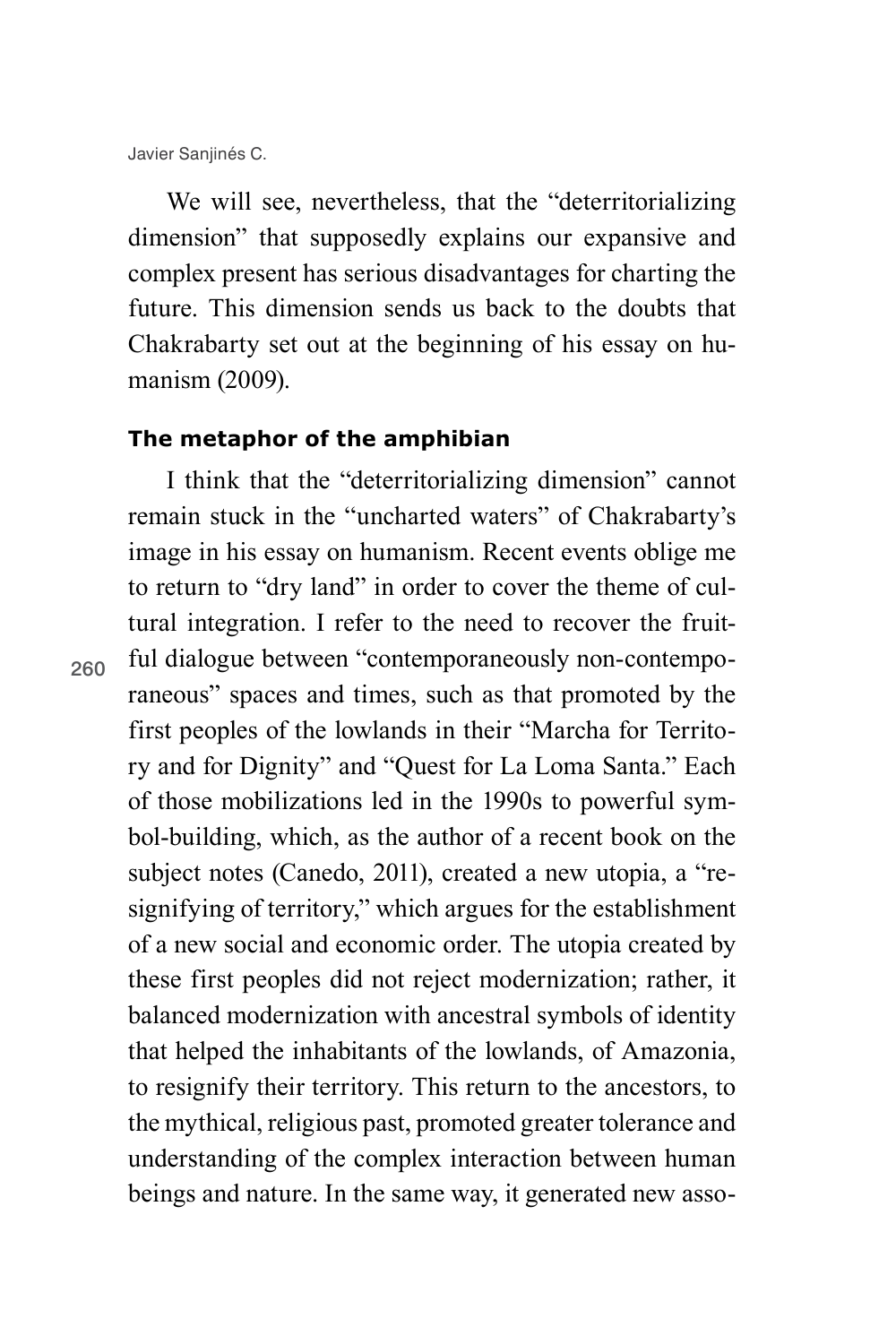260

We will see, nevertheless, that the "deterritorializing" dimension" that supposedly explains our expansive and complex present has serious disadvantages for charting the future. This dimension sends us back to the doubts that Chakrabarty set out at the beginning of his essay on humanism (2009).

### **The metaphor of the amphibian**

I think that the "deterritorializing dimension" cannot remain stuck in the "uncharted waters" of Chakrabarty's image in his essay on humanism. Recent events oblige me to return to "dry land" in order to cover the theme of cultural integration. I refer to the need to recover the fruitful dialogue between "contemporaneously non-contemporaneous" spaces and times, such as that promoted by the first peoples of the lowlands in their "Marcha for Territory and for Dignity" and "Quest for La Loma Santa." Each of those mobilizations led in the 1990s to powerful symbol-building, which, as the author of a recent book on the subject notes (Canedo, 2011), created a new utopia, a "resignifying of territory," which argues for the establishment of a new social and economic order. The utopia created by these first peoples did not reject modernization; rather, it balanced modernization with ancestral symbols of identity that helped the inhabitants of the lowlands, of Amazonia, to resignify their territory. This return to the ancestors, to the mythical, religious past, promoted greater tolerance and understanding of the complex interaction between human beings and nature. In the same way, it generated new asso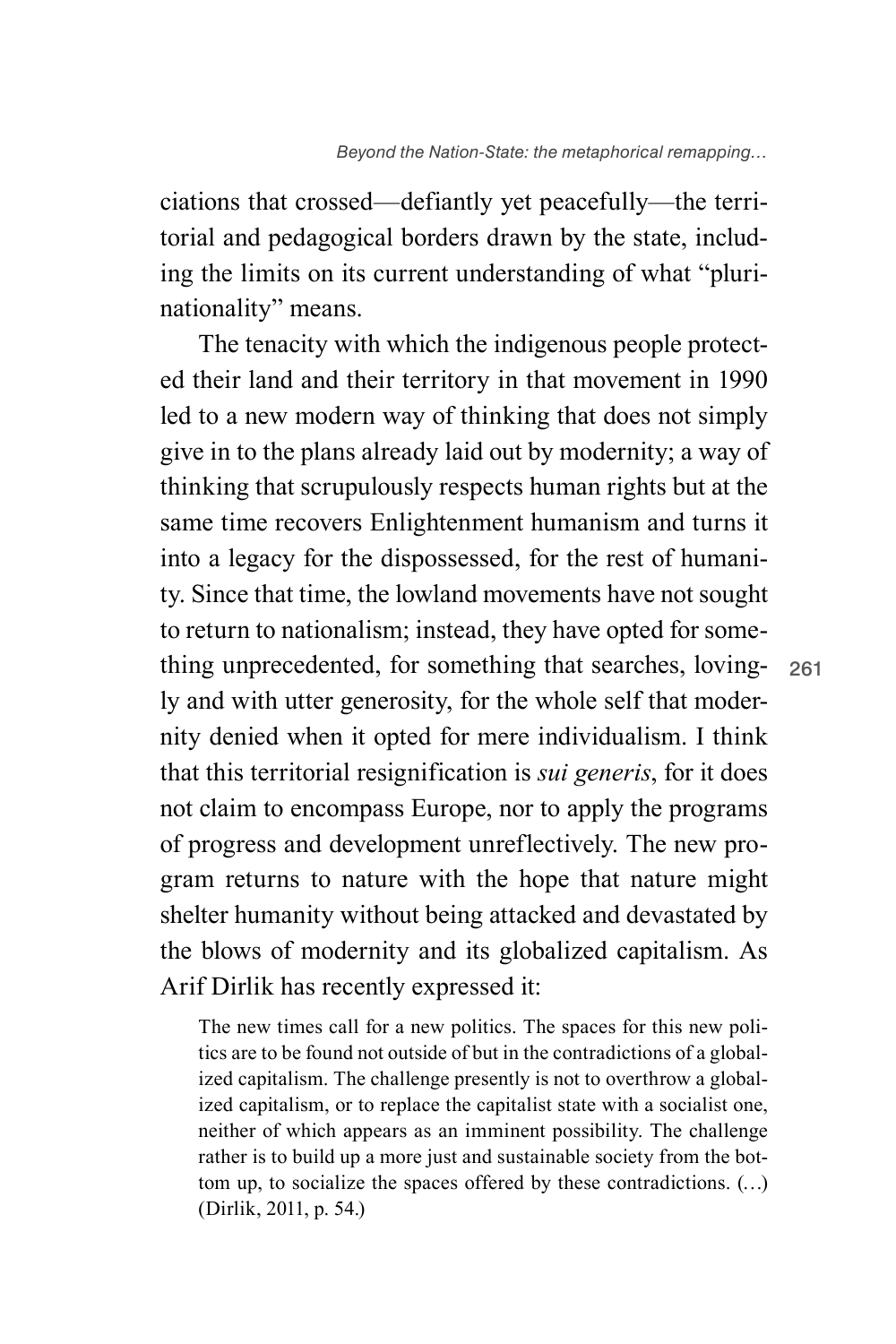ciations that crossed—defiantly yet peacefully—the territorial and pedagogical borders drawn by the state, including the limits on its current understanding of what "plurinationality" means.

The tenacity with which the indigenous people protected their land and their territory in that movement in 1990 led to a new modern way of thinking that does not simply give in to the plans already laid out by modernity; a way of thinking that scrupulously respects human rights but at the same time recovers Enlightenment humanism and turns it into a legacy for the dispossessed, for the rest of humanity. Since that time, the lowland movements have not sought to return to nationalism; instead, they have opted for something unprecedented, for something that searches, lovingly and with utter generosity, for the whole self that modernity denied when it opted for mere individualism. I think that this territorial resignification is *sui generis*, for it does not claim to encompass Europe, nor to apply the programs of progress and development unreflectively. The new program returns to nature with the hope that nature might shelter humanity without being attacked and devastated by the blows of modernity and its globalized capitalism. As Arif Dirlik has recently expressed it:

The new times call for a new politics. The spaces for this new politics are to be found not outside of but in the contradictions of a globalized capitalism. The challenge presently is not to overthrow a globalized capitalism, or to replace the capitalist state with a socialist one, neither of which appears as an imminent possibility. The challenge rather is to build up a more just and sustainable society from the bottom up, to socialize the spaces offered by these contradictions. (…) (Dirlik, 2011, p. 54.)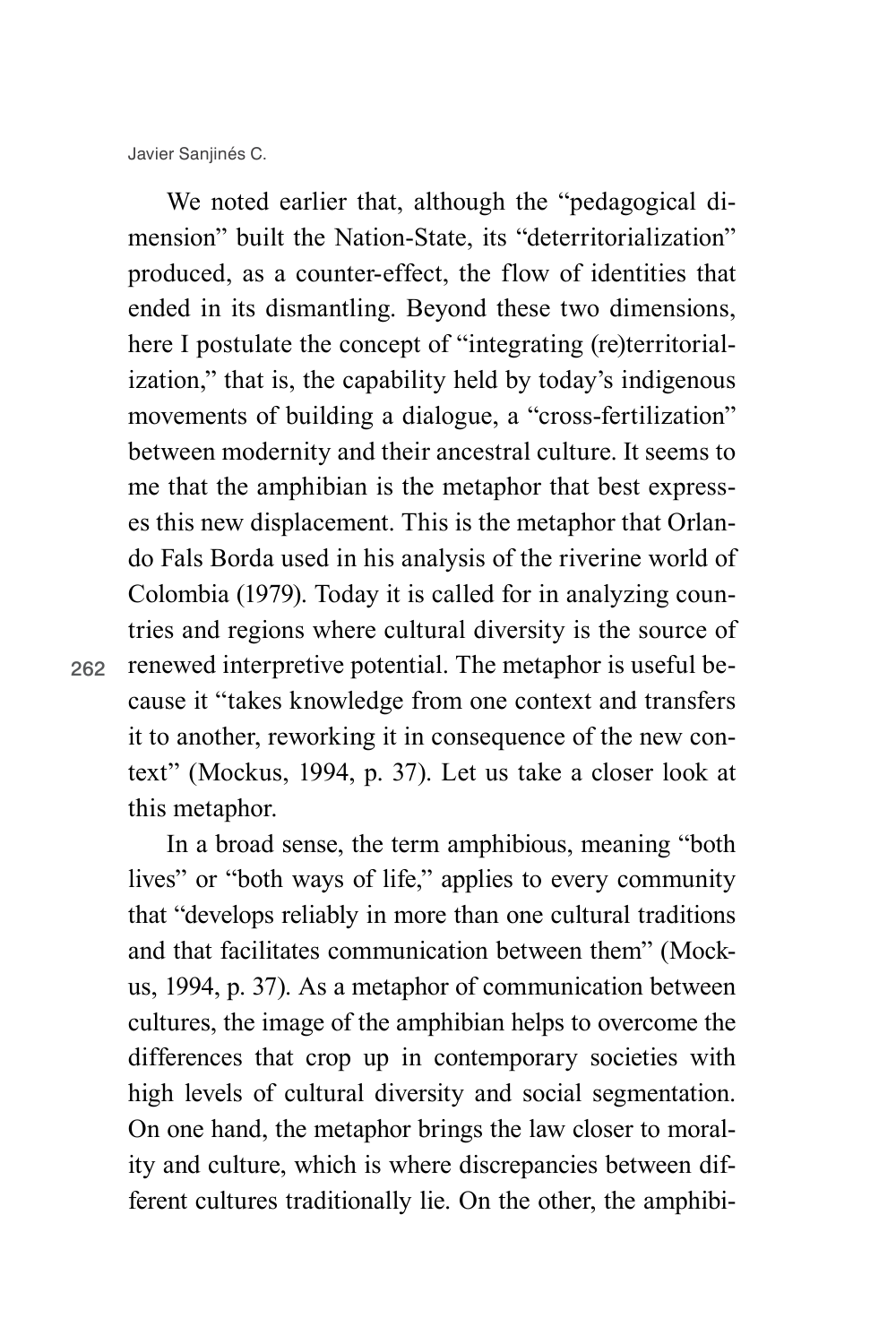We noted earlier that, although the "pedagogical dimension" built the Nation-State, its "deterritorialization" produced, as a counter-effect, the flow of identities that ended in its dismantling. Beyond these two dimensions, here I postulate the concept of "integrating (re)territorialization," that is, the capability held by today's indigenous movements of building a dialogue, a "cross-fertilization" between modernity and their ancestral culture. It seems to me that the amphibian is the metaphor that best expresses this new displacement. This is the metaphor that Orlando Fals Borda used in his analysis of the riverine world of Colombia (1979). Today it is called for in analyzing countries and regions where cultural diversity is the source of renewed interpretive potential. The metaphor is useful because it "takes knowledge from one context and transfers it to another, reworking it in consequence of the new context" (Mockus, 1994, p. 37). Let us take a closer look at this metaphor.

In a broad sense, the term amphibious, meaning "both lives" or "both ways of life," applies to every community that "develops reliably in more than one cultural traditions and that facilitates communication between them" (Mockus, 1994, p. 37). As a metaphor of communication between cultures, the image of the amphibian helps to overcome the differences that crop up in contemporary societies with high levels of cultural diversity and social segmentation. On one hand, the metaphor brings the law closer to morality and culture, which is where discrepancies between different cultures traditionally lie. On the other, the amphibi-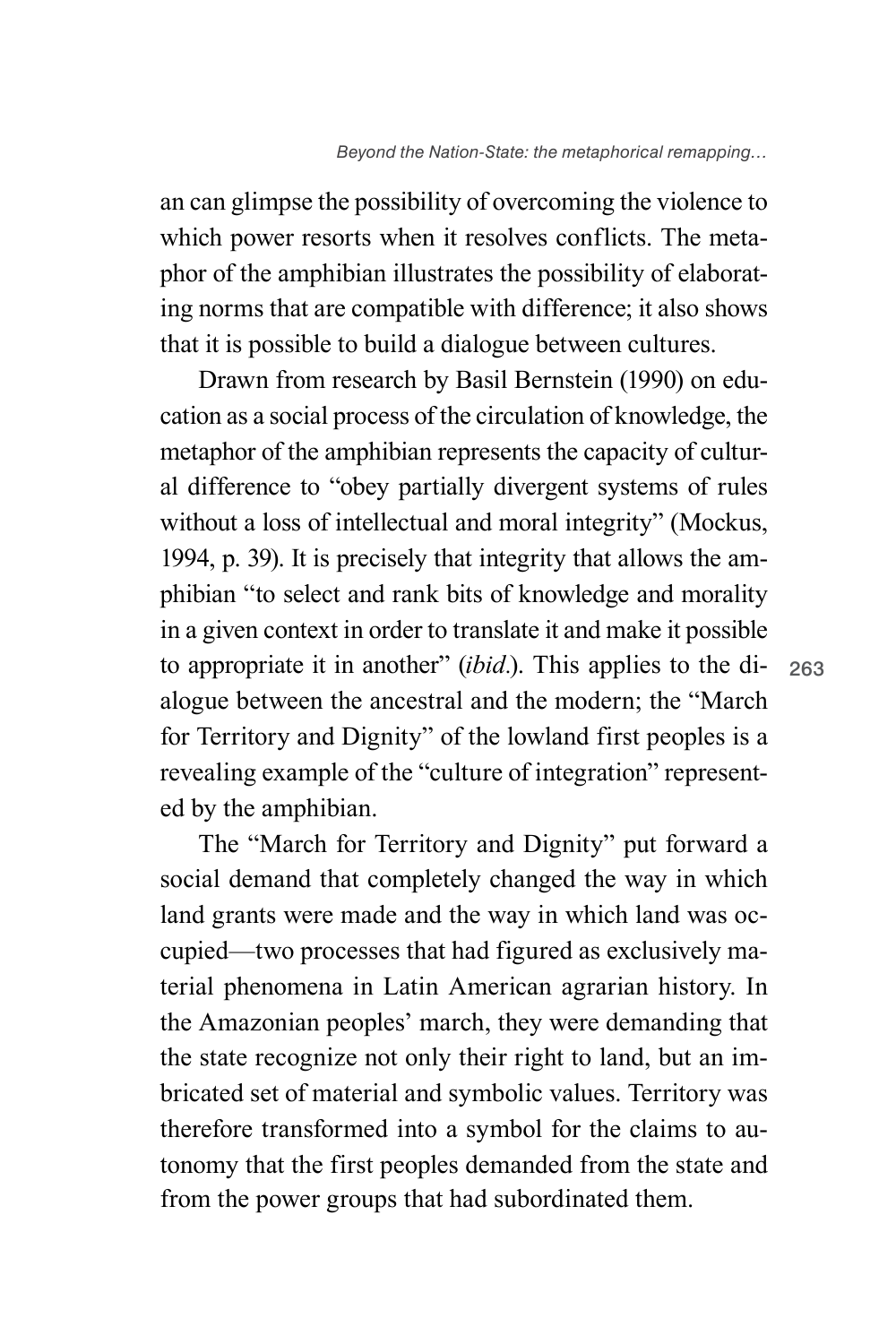an can glimpse the possibility of overcoming the violence to which power resorts when it resolves conflicts. The metaphor of the amphibian illustrates the possibility of elaborating norms that are compatible with difference; it also shows that it is possible to build a dialogue between cultures.

Drawn from research by Basil Bernstein (1990) on education as a social process of the circulation of knowledge, the metaphor of the amphibian represents the capacity of cultural difference to "obey partially divergent systems of rules without a loss of intellectual and moral integrity" (Mockus, 1994, p. 39). It is precisely that integrity that allows the amphibian "to select and rank bits of knowledge and morality in a given context in order to translate it and make it possible to appropriate it in another" (*ibid.*). This applies to the dialogue between the ancestral and the modern; the "March for Territory and Dignity" of the lowland first peoples is a revealing example of the "culture of integration" represented by the amphibian.

The "March for Territory and Dignity" put forward a social demand that completely changed the way in which land grants were made and the way in which land was occupied—two processes that had figured as exclusively material phenomena in Latin American agrarian history. In the Amazonian peoples' march, they were demanding that the state recognize not only their right to land, but an imbricated set of material and symbolic values. Territory was therefore transformed into a symbol for the claims to autonomy that the first peoples demanded from the state and from the power groups that had subordinated them.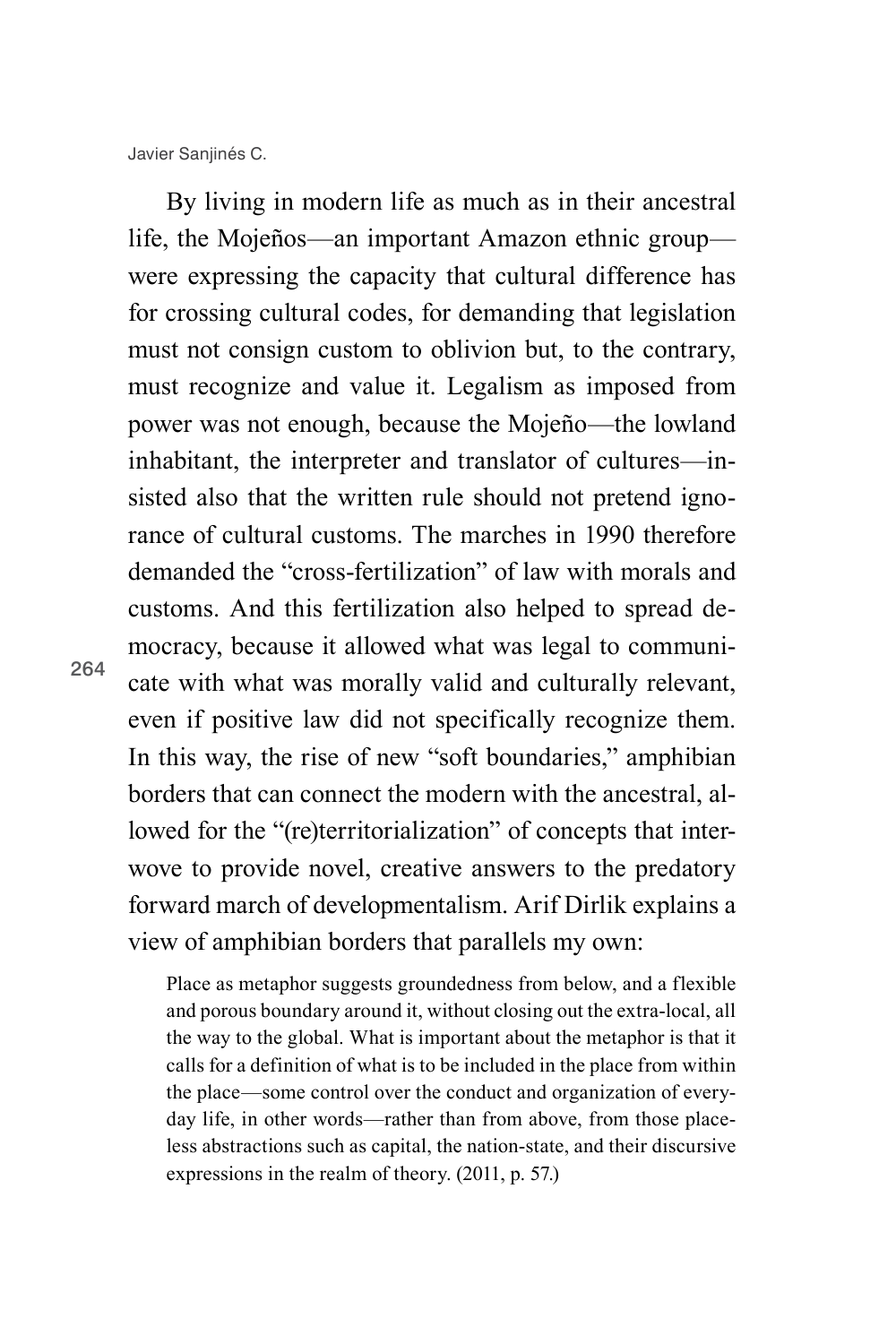By living in modern life as much as in their ancestral life, the Mojeños—an important Amazon ethnic group were expressing the capacity that cultural difference has for crossing cultural codes, for demanding that legislation must not consign custom to oblivion but, to the contrary, must recognize and value it. Legalism as imposed from power was not enough, because the Mojeño—the lowland inhabitant, the interpreter and translator of cultures—insisted also that the written rule should not pretend ignorance of cultural customs. The marches in 1990 therefore demanded the "cross-fertilization" of law with morals and customs. And this fertilization also helped to spread democracy, because it allowed what was legal to communicate with what was morally valid and culturally relevant, even if positive law did not specifically recognize them. In this way, the rise of new "soft boundaries," amphibian borders that can connect the modern with the ancestral, allowed for the "(re)territorialization" of concepts that interwove to provide novel, creative answers to the predatory forward march of developmentalism. Arif Dirlik explains a view of amphibian borders that parallels my own:

Place as metaphor suggests groundedness from below, and a flexible and porous boundary around it, without closing out the extra-local, all the way to the global. What is important about the metaphor is that it calls for a definition of what is to be included in the place from within the place—some control over the conduct and organization of everyday life, in other words—rather than from above, from those placeless abstractions such as capital, the nation-state, and their discursive expressions in the realm of theory. (2011, p. 57.)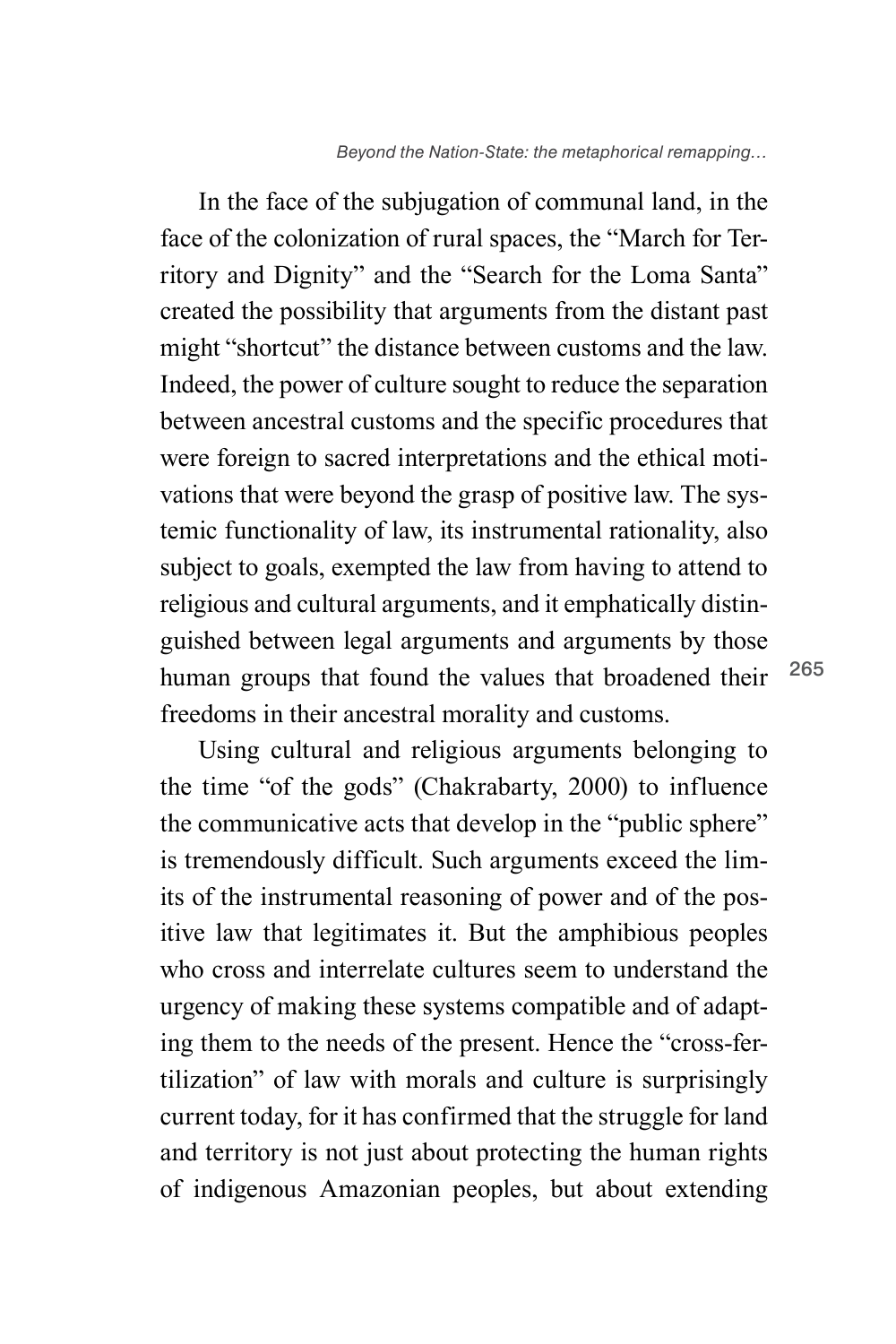In the face of the subjugation of communal land, in the face of the colonization of rural spaces, the "March for Territory and Dignity" and the "Search for the Loma Santa" created the possibility that arguments from the distant past might "shortcut" the distance between customs and the law. Indeed, the power of culture sought to reduce the separation between ancestral customs and the specific procedures that were foreign to sacred interpretations and the ethical motivations that were beyond the grasp of positive law. The systemic functionality of law, its instrumental rationality, also subject to goals, exempted the law from having to attend to religious and cultural arguments, and it emphatically distinguished between legal arguments and arguments by those human groups that found the values that broadened their freedoms in their ancestral morality and customs.

Using cultural and religious arguments belonging to the time "of the gods" (Chakrabarty, 2000) to influence the communicative acts that develop in the "public sphere" is tremendously difficult. Such arguments exceed the limits of the instrumental reasoning of power and of the positive law that legitimates it. But the amphibious peoples who cross and interrelate cultures seem to understand the urgency of making these systems compatible and of adapting them to the needs of the present. Hence the "cross-fertilization" of law with morals and culture is surprisingly current today, for it has confirmed that the struggle for land and territory is not just about protecting the human rights of indigenous Amazonian peoples, but about extending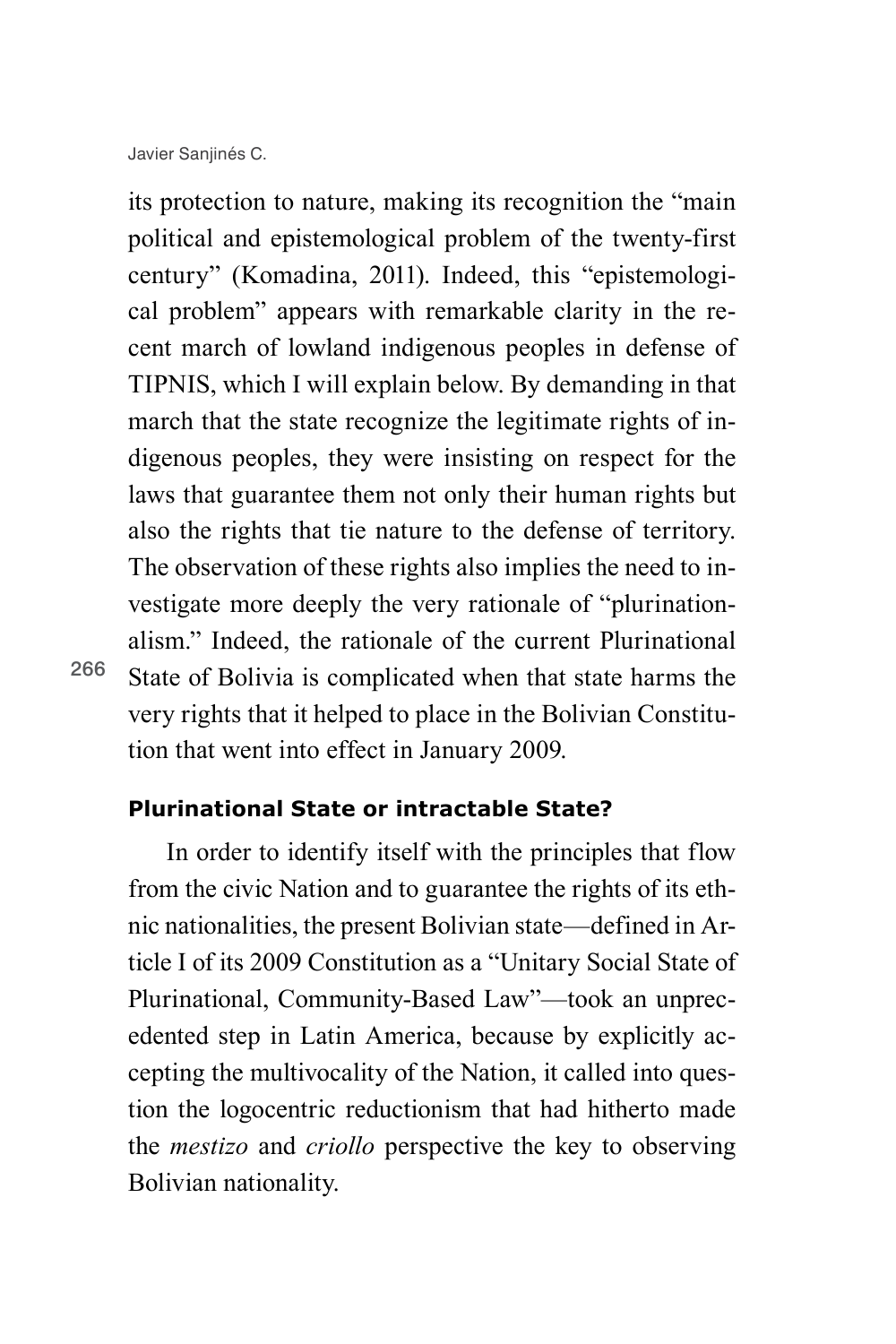its protection to nature, making its recognition the "main political and epistemological problem of the twenty-first century" (Komadina, 2011). Indeed, this "epistemological problem" appears with remarkable clarity in the recent march of lowland indigenous peoples in defense of TIPNIS, which I will explain below. By demanding in that march that the state recognize the legitimate rights of indigenous peoples, they were insisting on respect for the laws that guarantee them not only their human rights but also the rights that tie nature to the defense of territory. The observation of these rights also implies the need to investigate more deeply the very rationale of "plurinationalism." Indeed, the rationale of the current Plurinational State of Bolivia is complicated when that state harms the very rights that it helped to place in the Bolivian Constitution that went into effect in January 2009.

**Plurinational State or intractable State?**

In order to identify itself with the principles that flow from the civic Nation and to guarantee the rights of its ethnic nationalities, the present Bolivian state—defined in Article I of its 2009 Constitution as a "Unitary Social State of Plurinational, Community-Based Law"—took an unprecedented step in Latin America, because by explicitly accepting the multivocality of the Nation, it called into question the logocentric reductionism that had hitherto made the *mestizo* and *criollo* perspective the key to observing Bolivian nationality.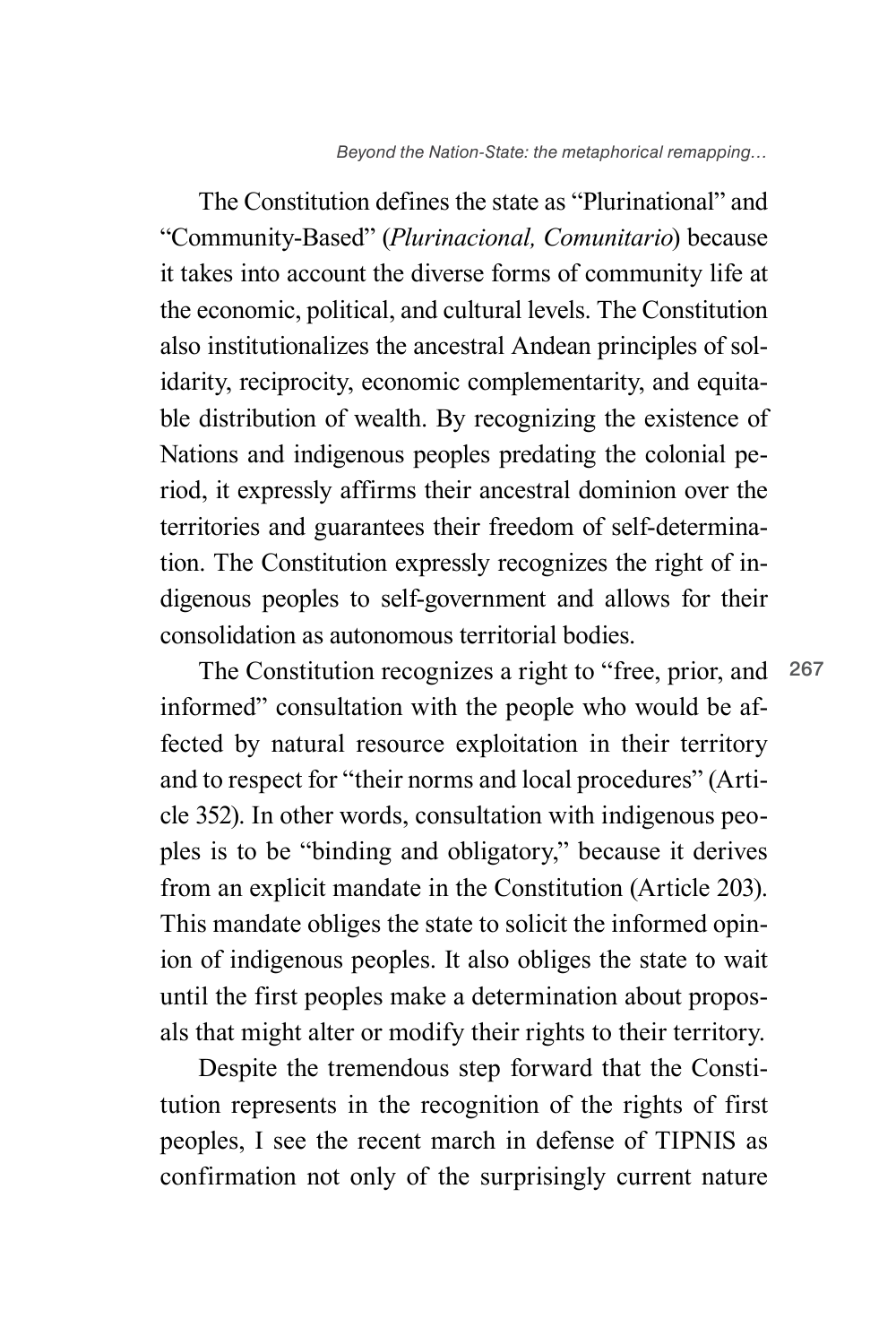267

The Constitution defines the state as "Plurinational" and "Community-Based" (*Plurinacional, Comunitario*) because it takes into account the diverse forms of community life at the economic, political, and cultural levels. The Constitution also institutionalizes the ancestral Andean principles of solidarity, reciprocity, economic complementarity, and equitable distribution of wealth. By recognizing the existence of Nations and indigenous peoples predating the colonial period, it expressly affirms their ancestral dominion over the territories and guarantees their freedom of self-determination. The Constitution expressly recognizes the right of indigenous peoples to self-government and allows for their consolidation as autonomous territorial bodies.

The Constitution recognizes a right to "free, prior, and informed" consultation with the people who would be affected by natural resource exploitation in their territory and to respect for "their norms and local procedures" (Article 352). In other words, consultation with indigenous peoples is to be "binding and obligatory," because it derives from an explicit mandate in the Constitution (Article 203). This mandate obliges the state to solicit the informed opinion of indigenous peoples. It also obliges the state to wait until the first peoples make a determination about proposals that might alter or modify their rights to their territory.

Despite the tremendous step forward that the Constitution represents in the recognition of the rights of first peoples, I see the recent march in defense of TIPNIS as confirmation not only of the surprisingly current nature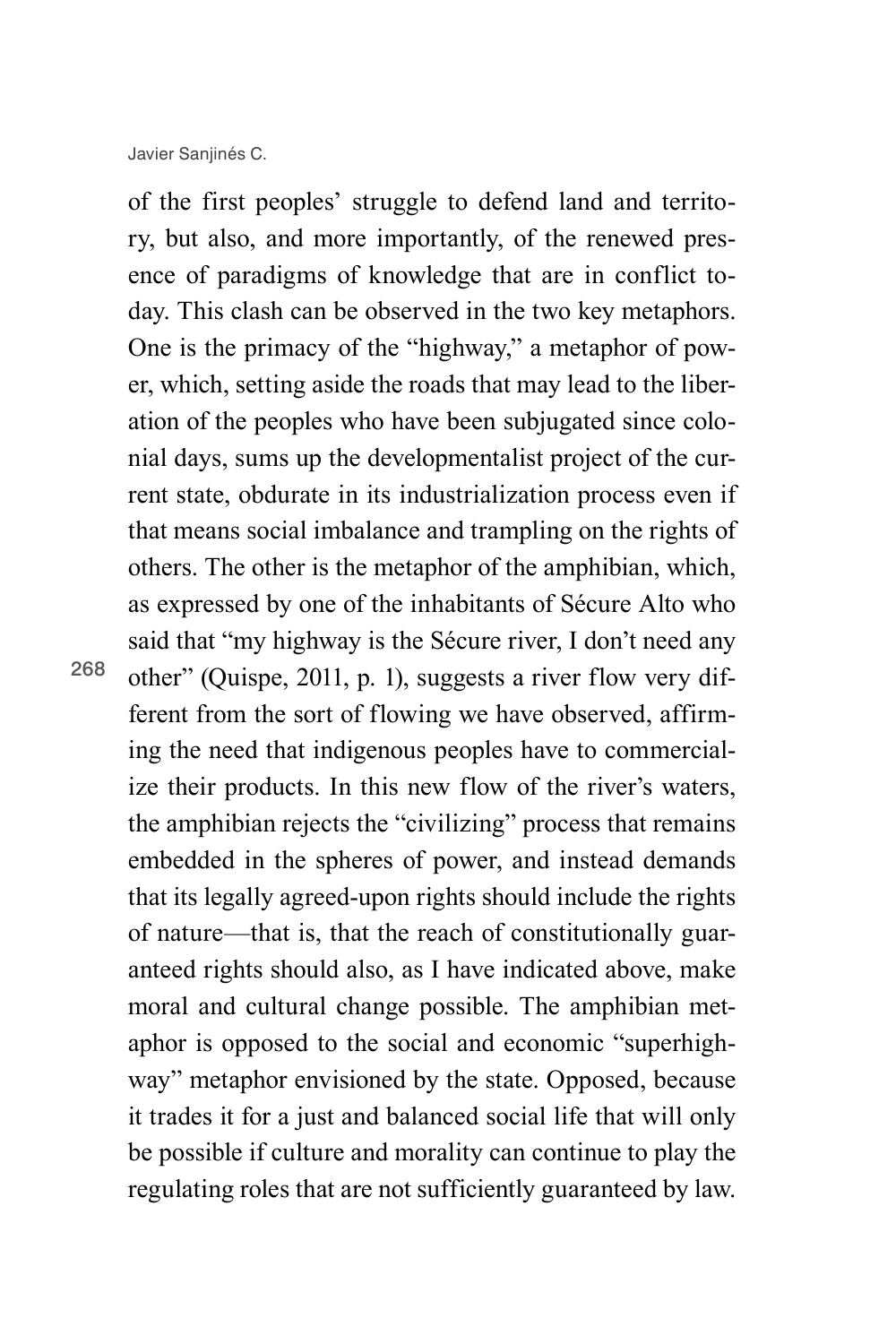of the first peoples' struggle to defend land and territory, but also, and more importantly, of the renewed presence of paradigms of knowledge that are in conflict today. This clash can be observed in the two key metaphors. One is the primacy of the "highway," a metaphor of power, which, setting aside the roads that may lead to the liberation of the peoples who have been subjugated since colonial days, sums up the developmentalist project of the current state, obdurate in its industrialization process even if that means social imbalance and trampling on the rights of others. The other is the metaphor of the amphibian, which, as expressed by one of the inhabitants of Sécure Alto who said that "my highway is the Sécure river, I don't need any other" (Quispe, 2011, p. 1), suggests a river flow very different from the sort of flowing we have observed, affirming the need that indigenous peoples have to commercialize their products. In this new flow of the river's waters, the amphibian rejects the "civilizing" process that remains embedded in the spheres of power, and instead demands that its legally agreed-upon rights should include the rights of nature—that is, that the reach of constitutionally guaranteed rights should also, as I have indicated above, make moral and cultural change possible. The amphibian metaphor is opposed to the social and economic "superhighway" metaphor envisioned by the state. Opposed, because it trades it for a just and balanced social life that will only be possible if culture and morality can continue to play the regulating roles that are not sufficiently guaranteed by law.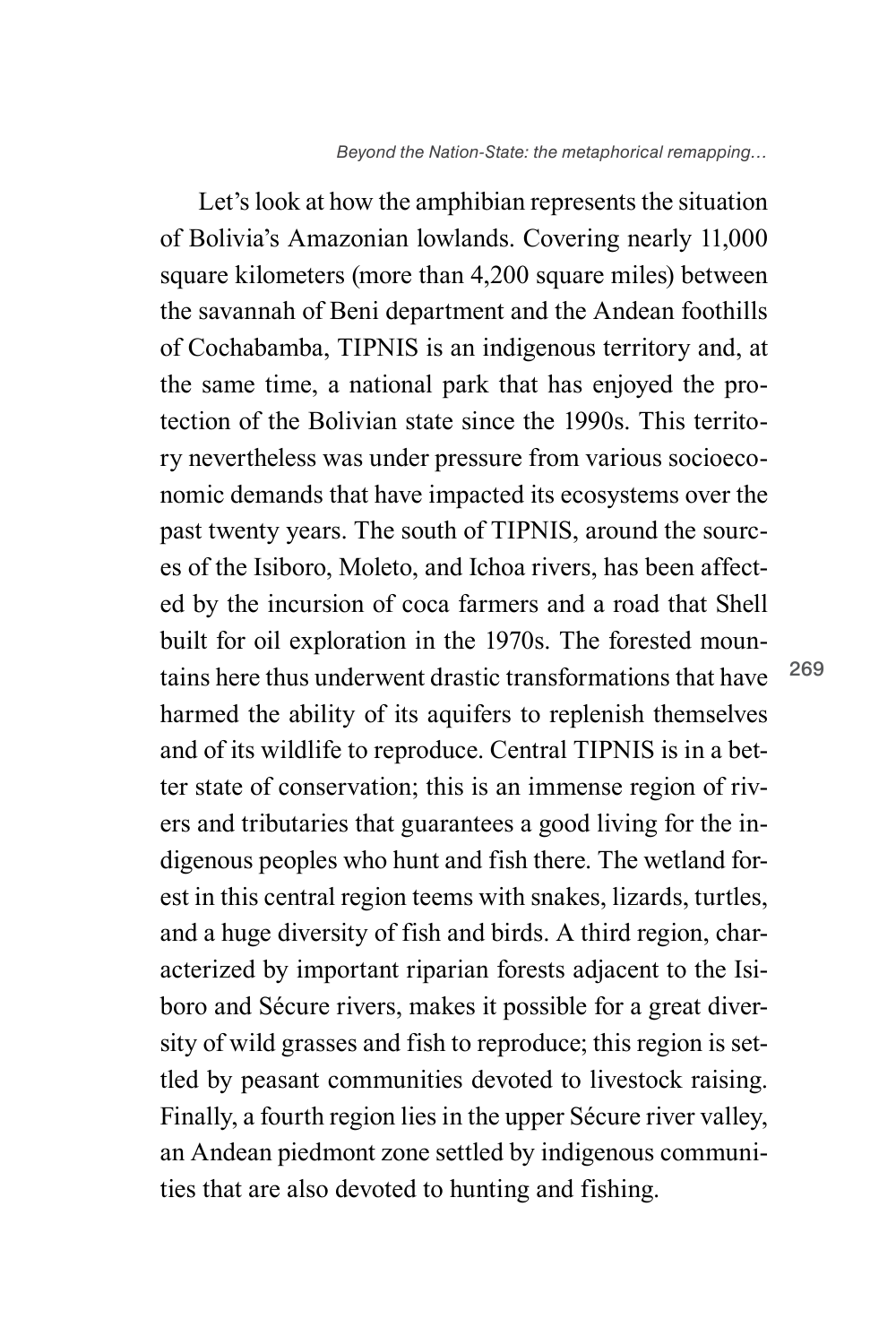Let's look at how the amphibian represents the situation of Bolivia's Amazonian lowlands. Covering nearly 11,000 square kilometers (more than 4,200 square miles) between the savannah of Beni department and the Andean foothills of Cochabamba, TIPNIS is an indigenous territory and, at the same time, a national park that has enjoyed the protection of the Bolivian state since the 1990s. This territory nevertheless was under pressure from various socioeconomic demands that have impacted its ecosystems over the past twenty years. The south of TIPNIS, around the sources of the Isiboro, Moleto, and Ichoa rivers, has been affected by the incursion of coca farmers and a road that Shell built for oil exploration in the 1970s. The forested mountains here thus underwent drastic transformations that have harmed the ability of its aquifers to replenish themselves and of its wildlife to reproduce. Central TIPNIS is in a better state of conservation; this is an immense region of rivers and tributaries that guarantees a good living for the indigenous peoples who hunt and fish there. The wetland forest in this central region teems with snakes, lizards, turtles, and a huge diversity of fish and birds. A third region, characterized by important riparian forests adjacent to the Isiboro and Sécure rivers, makes it possible for a great diversity of wild grasses and fish to reproduce; this region is settled by peasant communities devoted to livestock raising. Finally, a fourth region lies in the upper Sécure river valley, an Andean piedmont zone settled by indigenous communities that are also devoted to hunting and fishing.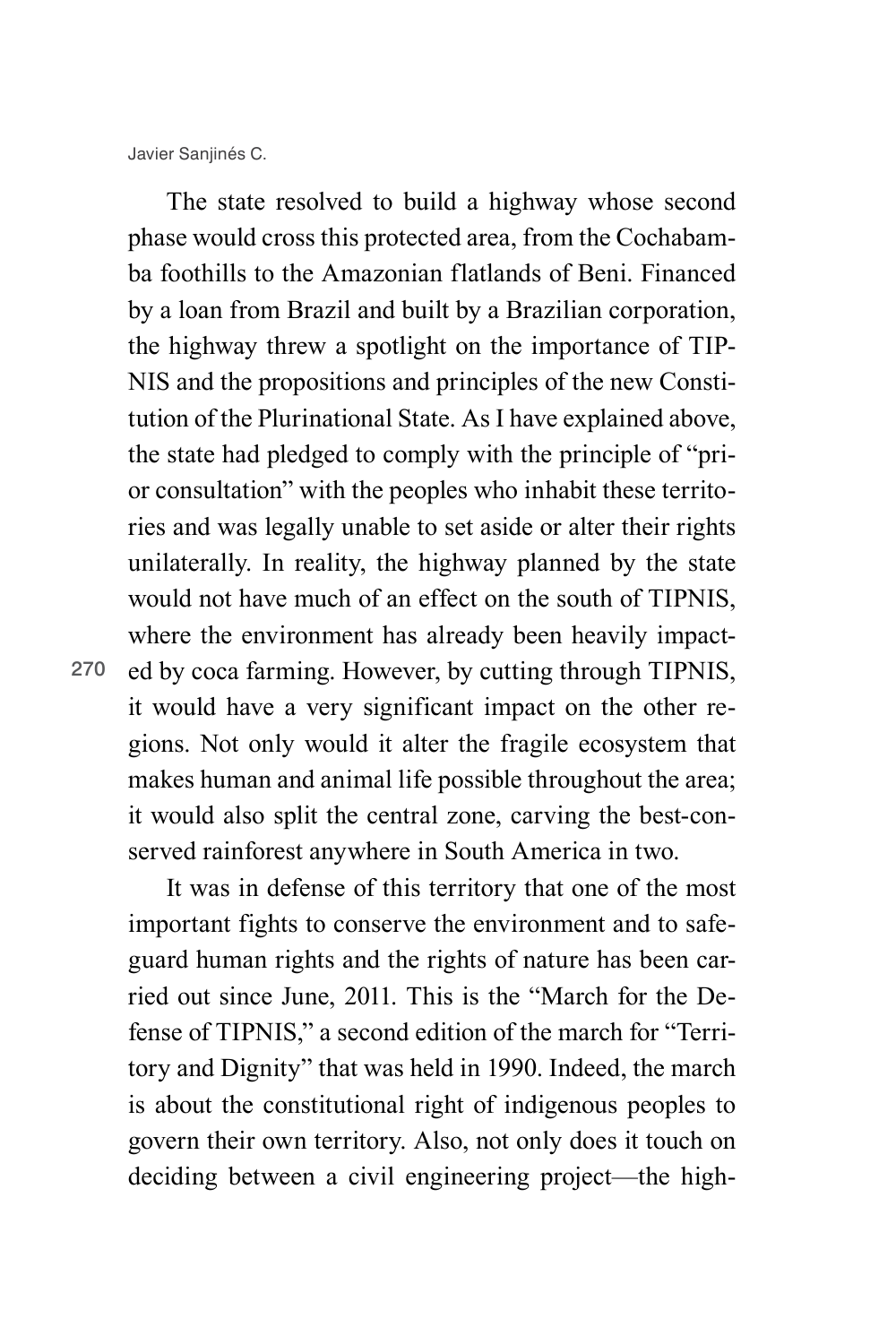270 ed by coca farming. However, by cutting through TIPNIS, The state resolved to build a highway whose second phase would cross this protected area, from the Cochabamba foothills to the Amazonian flatlands of Beni. Financed by a loan from Brazil and built by a Brazilian corporation, the highway threw a spotlight on the importance of TIP-NIS and the propositions and principles of the new Constitution of the Plurinational State. As I have explained above, the state had pledged to comply with the principle of "prior consultation" with the peoples who inhabit these territories and was legally unable to set aside or alter their rights unilaterally. In reality, the highway planned by the state would not have much of an effect on the south of TIPNIS, where the environment has already been heavily impactit would have a very significant impact on the other regions. Not only would it alter the fragile ecosystem that makes human and animal life possible throughout the area; it would also split the central zone, carving the best-conserved rainforest anywhere in South America in two.

It was in defense of this territory that one of the most important fights to conserve the environment and to safeguard human rights and the rights of nature has been carried out since June, 2011. This is the "March for the Defense of TIPNIS," a second edition of the march for "Territory and Dignity" that was held in 1990. Indeed, the march is about the constitutional right of indigenous peoples to govern their own territory. Also, not only does it touch on deciding between a civil engineering project—the high-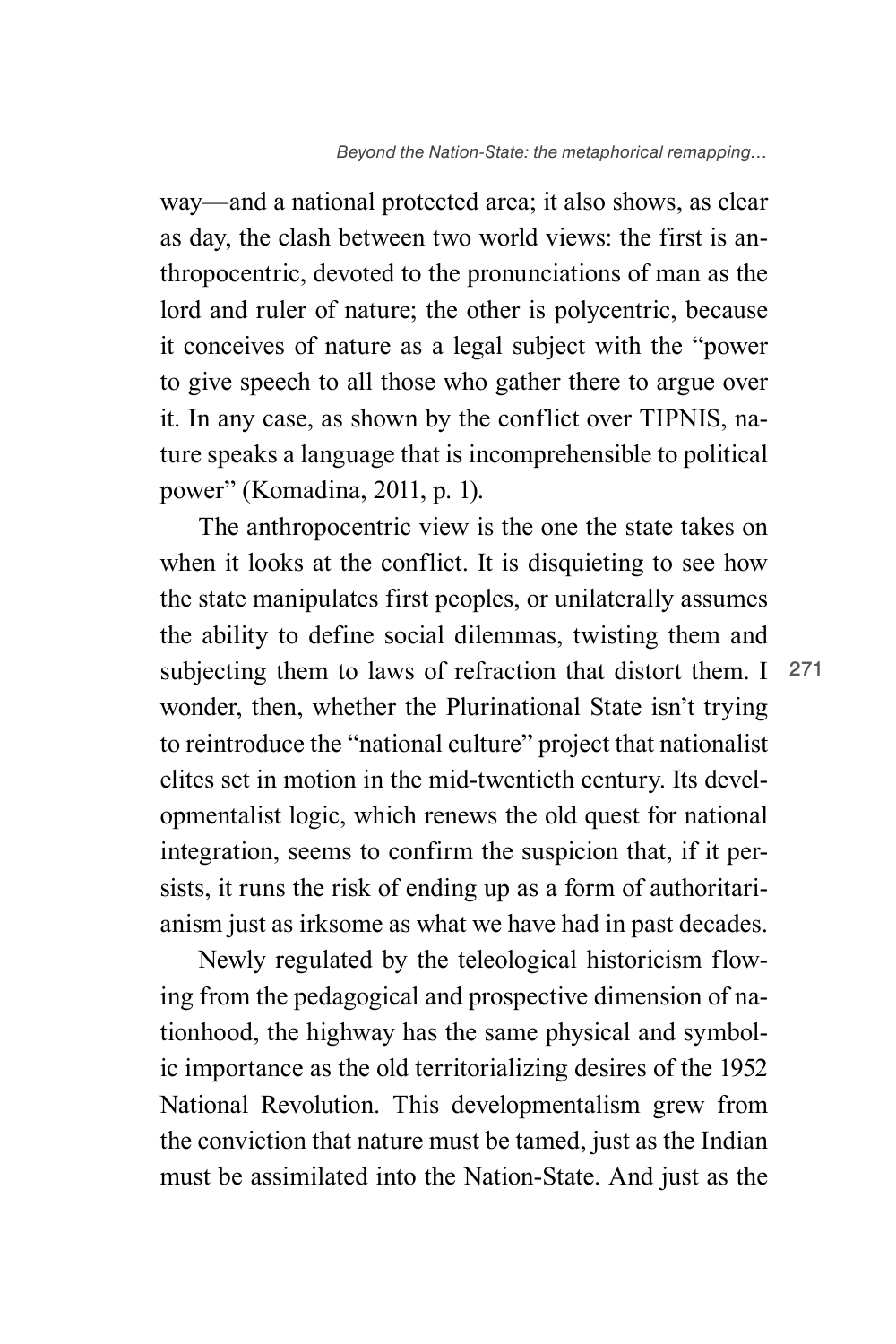way—and a national protected area; it also shows, as clear as day, the clash between two world views: the first is anthropocentric, devoted to the pronunciations of man as the lord and ruler of nature; the other is polycentric, because it conceives of nature as a legal subject with the "power to give speech to all those who gather there to argue over it. In any case, as shown by the conflict over TIPNIS, nature speaks a language that is incomprehensible to political power" (Komadina, 2011, p. 1).

subjecting them to laws of refraction that distort them. I 271 The anthropocentric view is the one the state takes on when it looks at the conflict. It is disquieting to see how the state manipulates first peoples, or unilaterally assumes the ability to define social dilemmas, twisting them and wonder, then, whether the Plurinational State isn't trying to reintroduce the "national culture" project that nationalist elites set in motion in the mid-twentieth century. Its developmentalist logic, which renews the old quest for national integration, seems to confirm the suspicion that, if it persists, it runs the risk of ending up as a form of authoritarianism just as irksome as what we have had in past decades.

Newly regulated by the teleological historicism flowing from the pedagogical and prospective dimension of nationhood, the highway has the same physical and symbolic importance as the old territorializing desires of the 1952 National Revolution. This developmentalism grew from the conviction that nature must be tamed, just as the Indian must be assimilated into the Nation-State. And just as the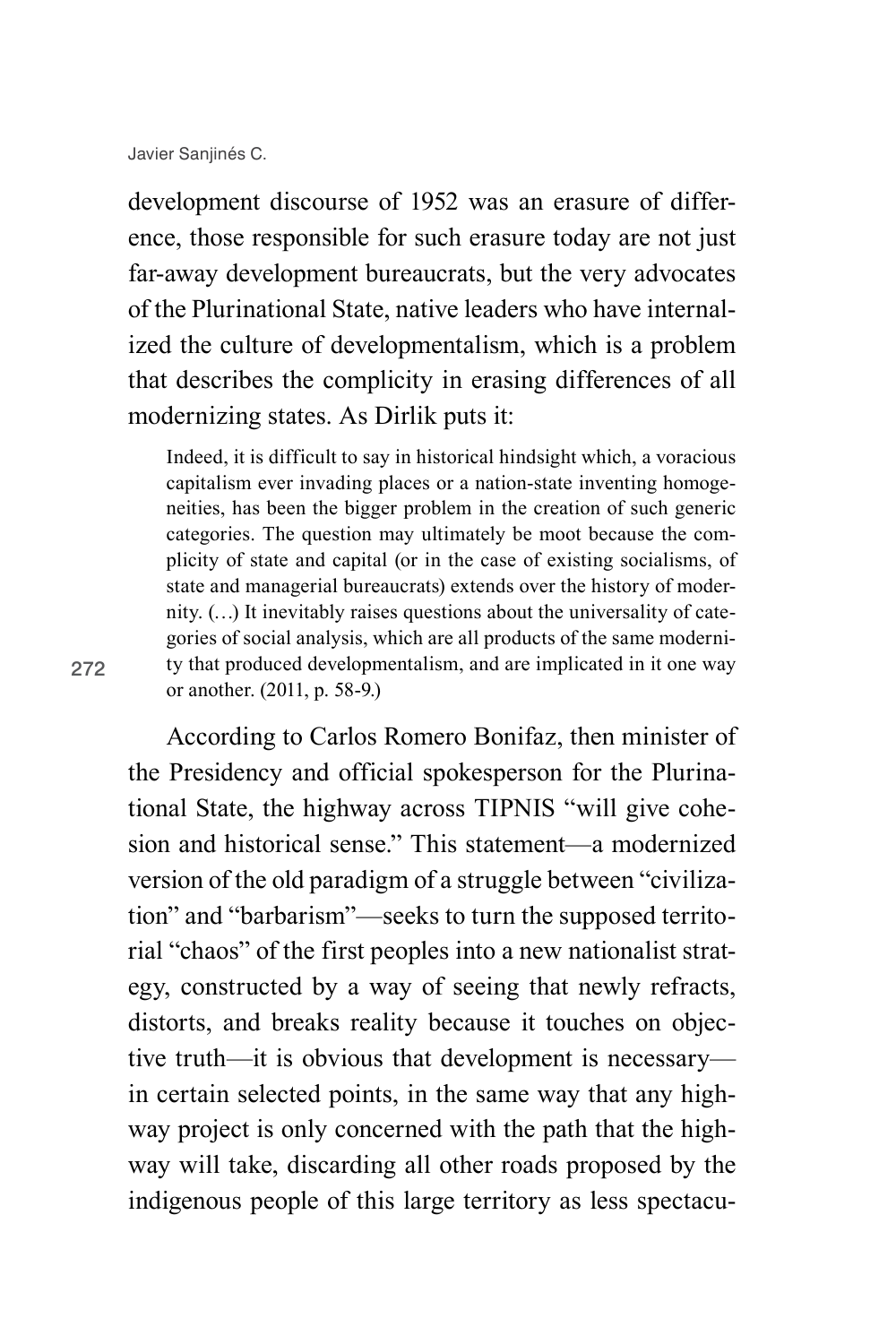272

development discourse of 1952 was an erasure of difference, those responsible for such erasure today are not just far-away development bureaucrats, but the very advocates of the Plurinational State, native leaders who have internalized the culture of developmentalism, which is a problem that describes the complicity in erasing differences of all modernizing states. As Dirlik puts it:

Indeed, it is difficult to say in historical hindsight which, a voracious capitalism ever invading places or a nation-state inventing homogeneities, has been the bigger problem in the creation of such generic categories. The question may ultimately be moot because the complicity of state and capital (or in the case of existing socialisms, of state and managerial bureaucrats) extends over the history of modernity. (…) It inevitably raises questions about the universality of categories of social analysis, which are all products of the same modernity that produced developmentalism, and are implicated in it one way or another. (2011, p. 58-9.)

According to Carlos Romero Bonifaz, then minister of the Presidency and official spokesperson for the Plurinational State, the highway across TIPNIS "will give cohesion and historical sense." This statement—a modernized version of the old paradigm of a struggle between "civilization" and "barbarism"—seeks to turn the supposed territorial "chaos" of the first peoples into a new nationalist strategy, constructed by a way of seeing that newly refracts, distorts, and breaks reality because it touches on objective truth—it is obvious that development is necessary in certain selected points, in the same way that any highway project is only concerned with the path that the highway will take, discarding all other roads proposed by the indigenous people of this large territory as less spectacu-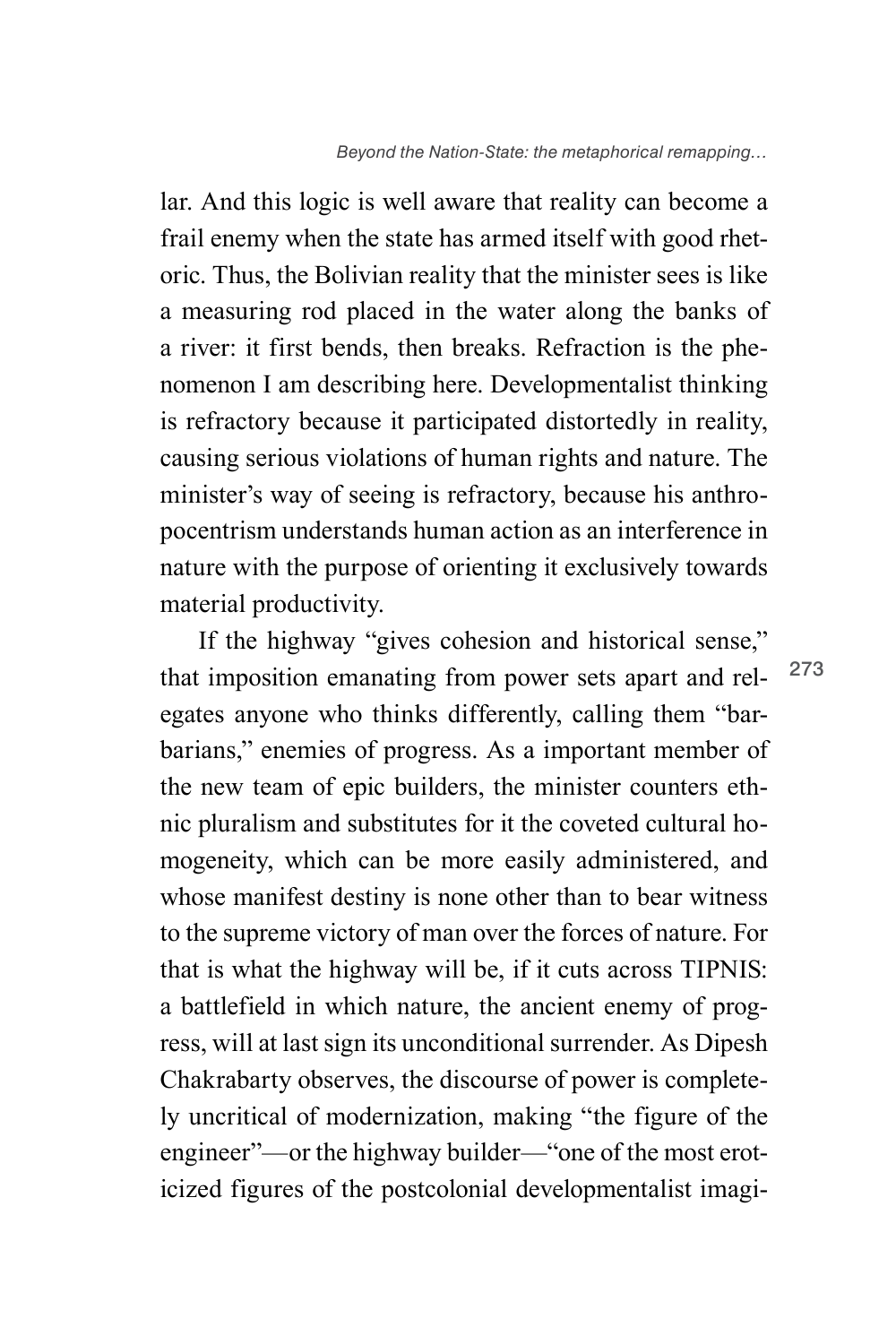lar. And this logic is well aware that reality can become a frail enemy when the state has armed itself with good rhetoric. Thus, the Bolivian reality that the minister sees is like a measuring rod placed in the water along the banks of a river: it first bends, then breaks. Refraction is the phenomenon I am describing here. Developmentalist thinking is refractory because it participated distortedly in reality, causing serious violations of human rights and nature. The minister's way of seeing is refractory, because his anthropocentrism understands human action as an interference in nature with the purpose of orienting it exclusively towards material productivity.

If the highway "gives cohesion and historical sense," that imposition emanating from power sets apart and relegates anyone who thinks differently, calling them "barbarians," enemies of progress. As a important member of the new team of epic builders, the minister counters ethnic pluralism and substitutes for it the coveted cultural homogeneity, which can be more easily administered, and whose manifest destiny is none other than to bear witness to the supreme victory of man over the forces of nature. For that is what the highway will be, if it cuts across TIPNIS: a battlefield in which nature, the ancient enemy of progress, will at last sign its unconditional surrender. As Dipesh Chakrabarty observes, the discourse of power is completely uncritical of modernization, making "the figure of the engineer"—or the highway builder—"one of the most eroticized figures of the postcolonial developmentalist imagi-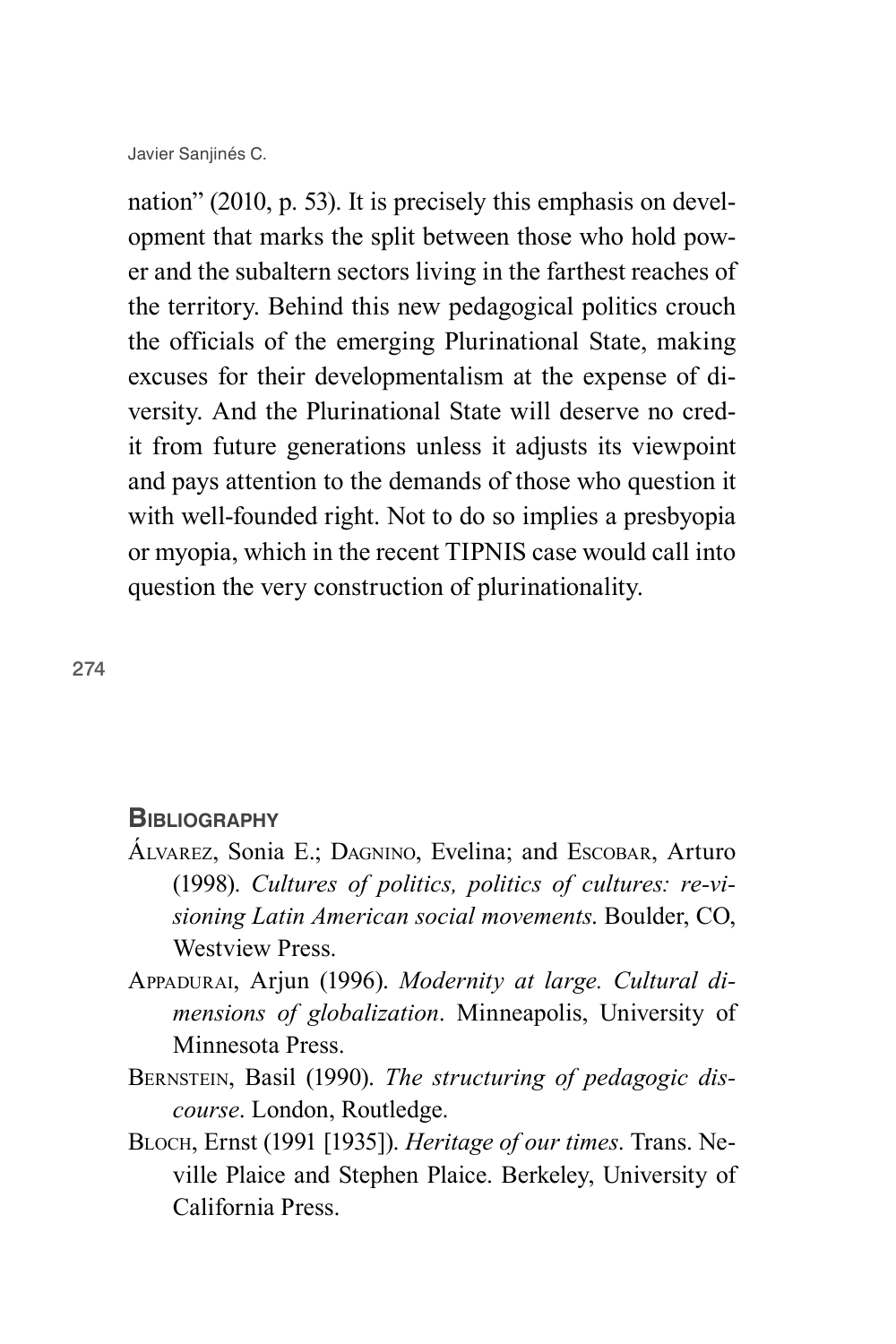nation" (2010, p. 53). It is precisely this emphasis on development that marks the split between those who hold power and the subaltern sectors living in the farthest reaches of the territory. Behind this new pedagogical politics crouch the officials of the emerging Plurinational State, making excuses for their developmentalism at the expense of diversity. And the Plurinational State will deserve no credit from future generations unless it adjusts its viewpoint and pays attention to the demands of those who question it with well-founded right. Not to do so implies a presbyopia or myopia, which in the recent TIPNIS case would call into question the very construction of plurinationality.

274

## **Bibliography**

- Álvarez, Sonia E.; Dagnino, Evelina; and Escobar, Arturo (1998). *Cultures of politics, politics of cultures: re-visioning Latin American social movements*. Boulder, CO, Westview Press.
- Appadurai, Arjun (1996). *Modernity at large. Cultural dimensions of globalization*. Minneapolis, University of Minnesota Press.
- Bernstein, Basil (1990). *The structuring of pedagogic discourse*. London, Routledge.
- Bloch, Ernst (1991 [1935]). *Heritage of our times*. Trans. Neville Plaice and Stephen Plaice. Berkeley, University of California Press.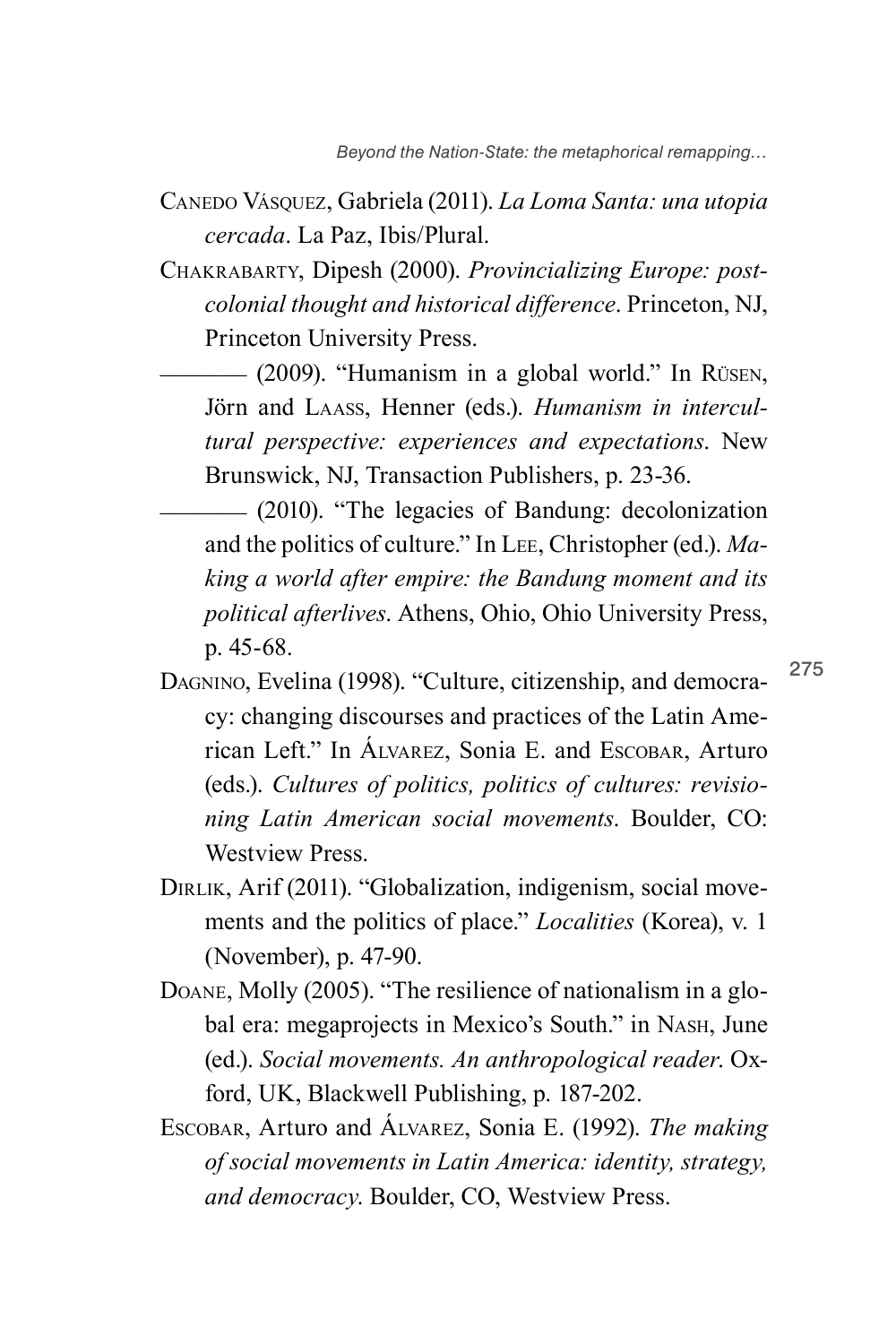- Canedo Vásquez, Gabriela (2011). *La Loma Santa: una utopia cercada*. La Paz, Ibis/Plural.
- Chakrabarty, Dipesh (2000). *Provincializing Europe: postcolonial thought and historical difference*. Princeton, NJ, Princeton University Press.

 $-$  (2009). "Humanism in a global world." In Rüsen, Jörn and Laass, Henner (eds.). *Humanism in intercultural perspective: experiences and expectations*. New Brunswick, NJ, Transaction Publishers, p. 23-36.

\_\_\_\_\_\_\_ (2010). "The legacies of Bandung: decolonization and the politics of culture." In Lee, Christopher (ed.). *Making a world after empire: the Bandung moment and its political afterlives*. Athens, Ohio, Ohio University Press, p. 45-68.

- Dagnino, Evelina (1998). "Culture, citizenship, and democracy: changing discourses and practices of the Latin American Left." In Álvarez, Sonia E. and Escobar, Arturo (eds.). *Cultures of politics, politics of cultures: revisioning Latin American social movements*. Boulder, CO: Westview Press.
- DIRLIK, Arif (2011). "Globalization, indigenism, social movements and the politics of place." *Localities* (Korea), v. 1 (November), p. 47-90.
- Doane, Molly (2005). "The resilience of nationalism in a global era: megaprojects in Mexico's South." in Nash, June (ed.). *Social movements. An anthropological reader*. Oxford, UK, Blackwell Publishing, p. 187-202.
- Escobar, Arturo and Álvarez, Sonia E. (1992). *The making of social movements in Latin America: identity, strategy, and democracy*. Boulder, CO, Westview Press.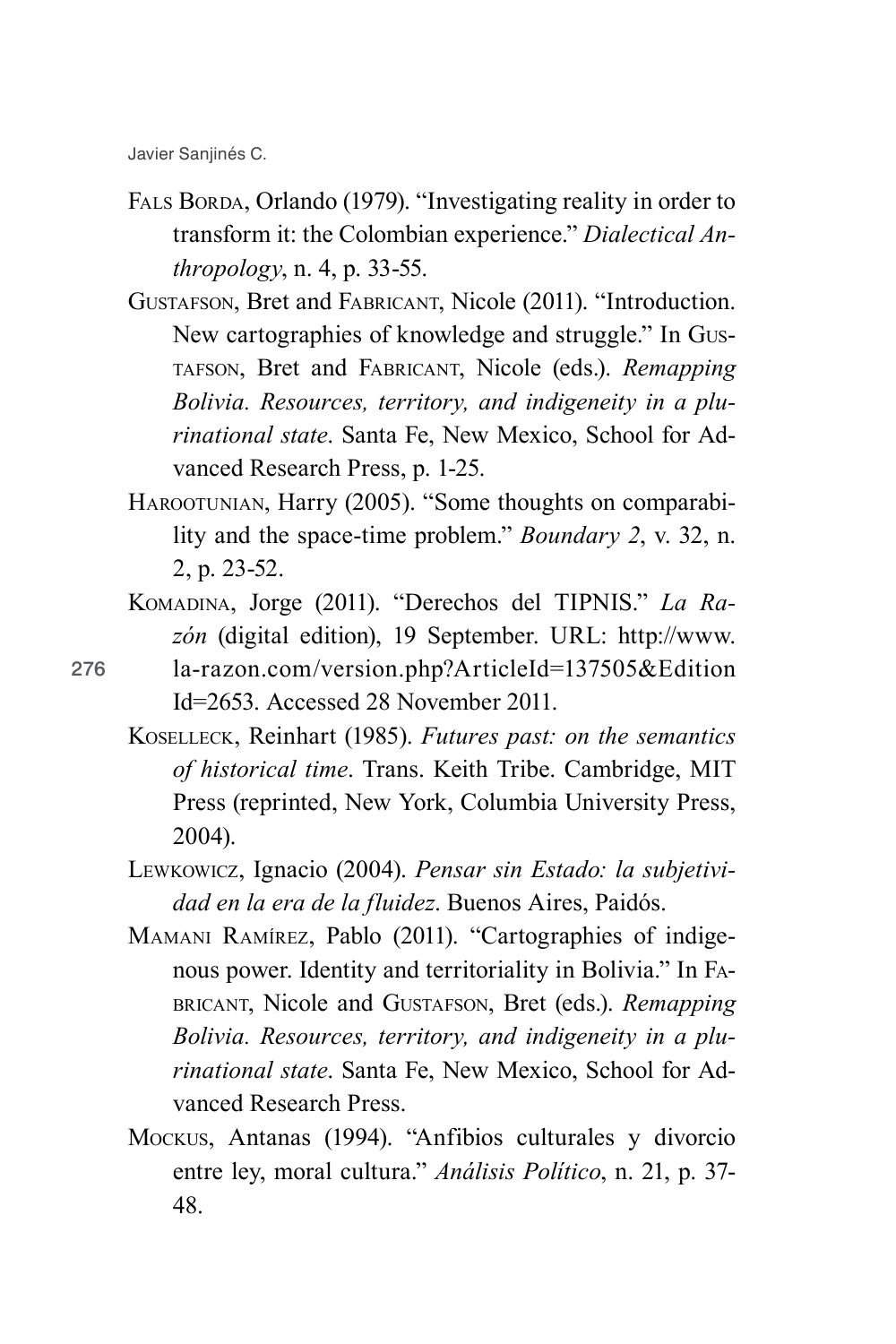- FALS BORDA, Orlando (1979). "Investigating reality in order to transform it: the Colombian experience." *Dialectical Anthropology*, n. 4, p. 33-55.
- Gustafson, Bret and Fabricant, Nicole (2011). "Introduction. New cartographies of knowledge and struggle." In Gustafson, Bret and Fabricant, Nicole (eds.). *Remapping Bolivia. Resources, territory, and indigeneity in a plurinational state*. Santa Fe, New Mexico, School for Advanced Research Press, p. 1-25.
- HAROOTUNIAN, Harry (2005). "Some thoughts on comparability and the space-time problem." *Boundary 2*, v. 32, n. 2, p. 23-52.
- Komadina, Jorge (2011). "Derechos del TIPNIS." *La Razón* (digital edition), 19 September. URL: http://www.
- la-razon.com/version.php?ArticleId=137505&Edition Id=2653. Accessed 28 November 2011.
	- Koselleck, Reinhart (1985). *Futures past: on the semantics of historical time*. Trans. Keith Tribe. Cambridge, MIT Press (reprinted, New York, Columbia University Press, 2004).
	- Lewkowicz, Ignacio (2004). *Pensar sin Estado: la subjetividad en la era de la fluidez*. Buenos Aires, Paidós.
	- Mamani Ramírez, Pablo (2011). "Cartographies of indigenous power. Identity and territoriality in Bolivia." In Fabricant, Nicole and Gustafson, Bret (eds.). *Remapping Bolivia. Resources, territory, and indigeneity in a plurinational state*. Santa Fe, New Mexico, School for Advanced Research Press.
	- Mockus, Antanas (1994). "Anfibios culturales y divorcio entre ley, moral cultura." *Análisis Político*, n. 21, p. 37- 48.